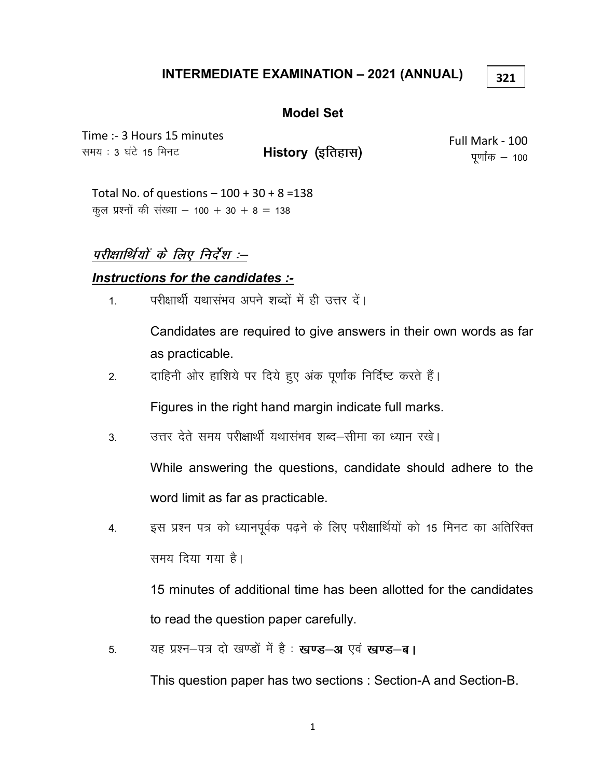## INTERMEDIATE EXAMINATION – 2021 (ANNUAL)

#### 321

#### Model Set

Time :- 3 Hours 15 minutes समय : 3 घंटे 15 मिनट

History (इतिहास)

Full Mark - 100 पूर्णांक  $-$  100

Total No. of questions  $-100 + 30 + 8 = 138$ कूल प्रश्नों की संख्या – 100 + 30 + 8 = 138

परीक्षार्थियों के लिए निर्देश :--

## Instructions for the candidates :-

1 - परीक्षार्थी यथासंभव अपने शब्दों में ही उत्तर दें।

Candidates are required to give answers in their own words as far as practicable.

2. वाहिनी ओर हाशिये पर दिये हुए अंक पूर्णांक निर्दिष्ट करते हैं।

Figures in the right hand margin indicate full marks.

3. उत्तर देते समय परीक्षार्थी यथासंभव शब्द—सीमा का ध्यान रखे।

While answering the questions, candidate should adhere to the word limit as far as practicable.

4. इस प्रश्न पत्र को ध्यानपूर्वक पढ़ने के लिए परीक्षार्थियों को 15 मिनट का अतिरिक्त समय दिया गया है।

15 minutes of additional time has been allotted for the candidates to read the question paper carefully.

5. यह प्रश्न-पत्र दो खण्डों में है: खण्ड-अ एवं खण्ड-ब।

This question paper has two sections : Section-A and Section-B.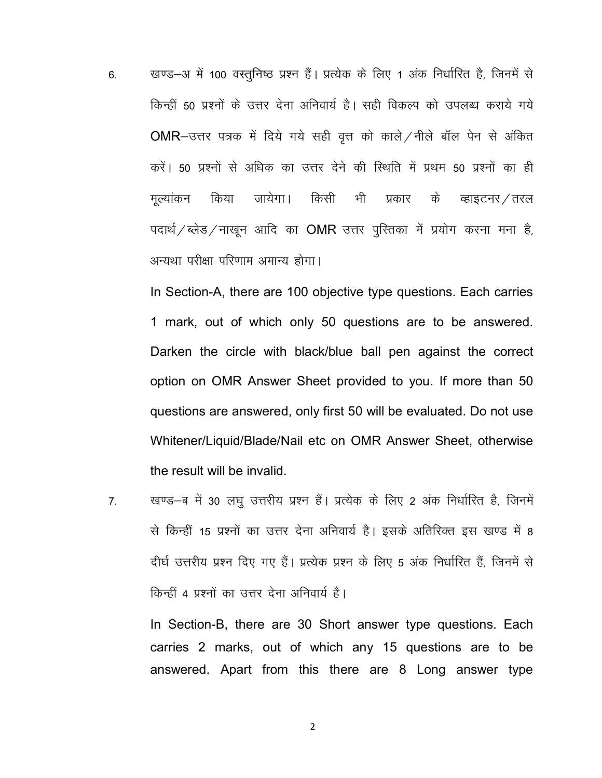6. व्यण्ड–अ में 100 वस्तुनिष्ठ प्रश्न हैं। प्रत्येक के लिए 1 अंक निर्धारित है, जिनमें से किन्हीं 50 प्रश्नों के उत्तर देना अनिवार्य है। सही विकल्प को उपलब्ध कराये गये OMR-उत्तर पत्रक में दिये गये सही वृत्त को काले / नीले बॉल पेन से अंकित करें। 50 प्रश्नों से अधिक का उत्तर देने की स्थिति में प्रथम 50 प्रश्नों का ही मुल्यांकन किया जायेगा। किसी भी प्रकार के व्हाइटनर /तरल पदार्थ/ब्लेड/नाखून आदि का OMR उत्तर पुस्तिका में प्रयोग करना मना है, अन्यथा परीक्षा परिणाम अमान्य होगा।

In Section-A, there are 100 objective type questions. Each carries 1 mark, out of which only 50 questions are to be answered. Darken the circle with black/blue ball pen against the correct option on OMR Answer Sheet provided to you. If more than 50 questions are answered, only first 50 will be evaluated. Do not use Whitener/Liquid/Blade/Nail etc on OMR Answer Sheet, otherwise the result will be invalid.

7. खण्ड—ब में 30 लघु उत्तरीय प्रश्न हैं। प्रत्येक के लिए 2 अंक निर्धारित है, जिनमें से किन्हीं 15 प्रश्नों का उत्तर देना अनिवार्य है। इसके अतिरिक्त इस खण्ड में 8 दीर्घ उत्तरीय प्रश्न दिए गए हैं। प्रत्येक प्रश्न के लिए 5 अंक निर्धारित हैं, जिनमें से किन्हीं 4 प्रश्नों का उत्तर देना अनिवार्य है।

In Section-B, there are 30 Short answer type questions. Each carries 2 marks, out of which any 15 questions are to be answered. Apart from this there are 8 Long answer type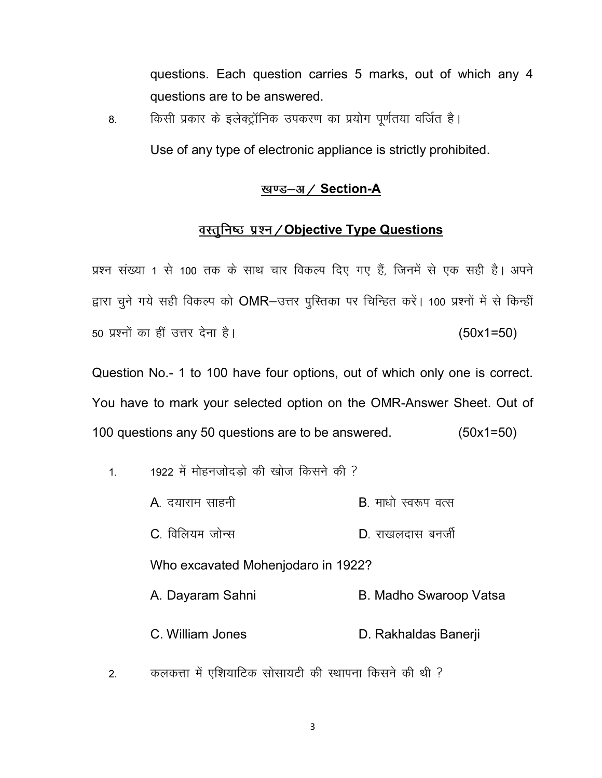questions. Each question carries 5 marks, out of which any 4 questions are to be answered.

8. **किसी प्रकार के इलेक्ट्रॉनिक उपकरण का** प्रयोग पूर्णतया वर्जित है।

Use of any type of electronic appliance is strictly prohibited.

### <u>खण्ड–अ / Section</u>-A

### <u>वस्तुनिष्ठ प्रश्न/Objective Type Questions</u>

प्रश्न संख्या 1 से 100 तक के साथ चार विकल्प दिए गए हैं, जिनमें से एक सही है। अपने द्वारा चूने गये सही विकल्प को OMR-उत्तर पुरितका पर चिन्हित करें। 100 प्रश्नों में से किन्हीं 50 प्रश्नों का हीं उत्तर देना है।  $(50x1=50)$ 

Question No.- 1 to 100 have four options, out of which only one is correct. You have to mark your selected option on the OMR-Answer Sheet. Out of 100 questions any 50 questions are to be answered. (50x1=50)

- 1  $\mu$  1922 में मोहनजोदडो की खोज किसने की ?
	- $A$ , दयाराम साहनी and the control  $B$ , माधो स्वरूप वत्स
	- $C_{\cdot}$  विलियम जोन्स $\Box$  and  $D_{\cdot}$  राखलदास बनर्जी

Who excavated Mohenjodaro in 1922?

- A. Dayaram Sahni B. Madho Swaroop Vatsa
- C. William Jones **D. Rakhaldas Banerji**
- 2. कलकत्ता में एशियाटिक सोसायटी की स्थापना किसने की थी ?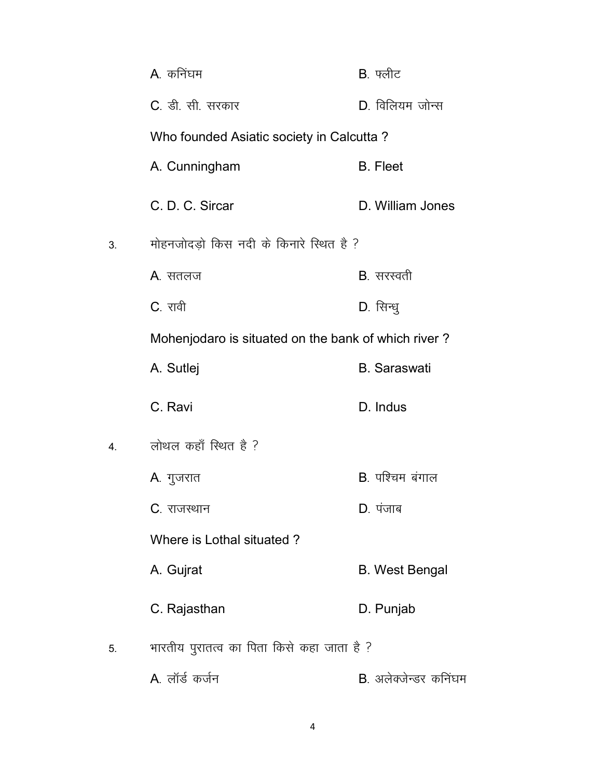|    | A. कनिंघम                                           | $B.$ फ्लीट                    |
|----|-----------------------------------------------------|-------------------------------|
|    | C. डी. सी. सरकार                                    | D. विलियम जोन्स               |
|    | Who founded Asiatic society in Calcutta?            |                               |
|    | A. Cunningham                                       | <b>B.</b> Fleet               |
|    | C. D. C. Sircar                                     | D. William Jones              |
| 3. | मोहनजोदड़ो किस नदी के किनारे स्थित है ?             |                               |
|    | A. सतलज                                             | B. सरस्वती                    |
|    | C. रावी                                             | D. सिन्धु                     |
|    | Mohenjodaro is situated on the bank of which river? |                               |
|    | A. Sutlej                                           | <b>B.</b> Saraswati           |
|    | C. Ravi                                             | D. Indus                      |
| 4. | लोथल कहाँ स्थित है ?                                |                               |
|    | A. गुजरात                                           | B. पश्चिम बंगाल               |
|    | C. राजस्थान                                         | $D.$ पंजाब                    |
|    | Where is Lothal situated?                           |                               |
|    | A. Gujrat                                           | <b>B.</b> West Bengal         |
|    | C. Rajasthan                                        | D. Punjab                     |
| 5. | भारतीय पुरातत्व का पिता किसे कहा जाता है ?          |                               |
|    | A. लॉर्ड कर्जन                                      | <b>B</b> . अलेक्जेन्डर कनिंघम |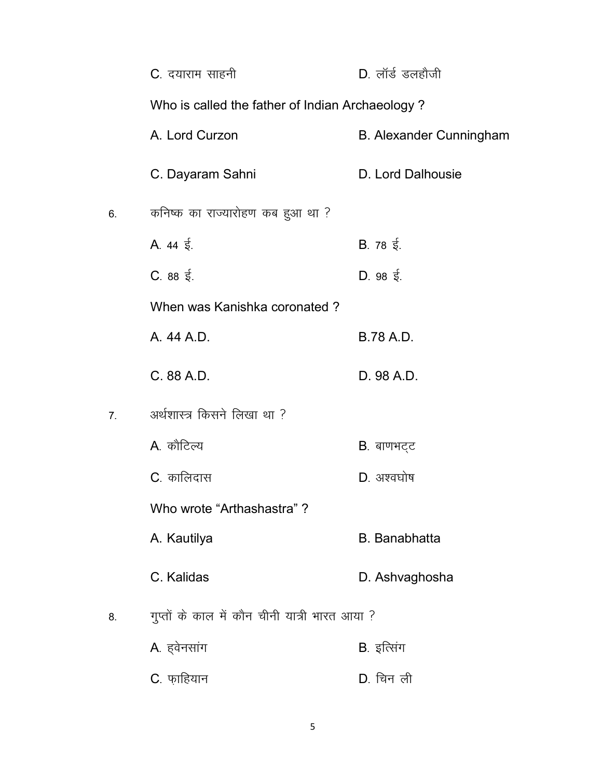|    | <b>C</b> . दयाराम साहनी                         | $D.$ लॉर्ड डलहौजी              |  |
|----|-------------------------------------------------|--------------------------------|--|
|    | Who is called the father of Indian Archaeology? |                                |  |
|    | A. Lord Curzon                                  | <b>B. Alexander Cunningham</b> |  |
|    | C. Dayaram Sahni                                | D. Lord Dalhousie              |  |
| 6. | कनिष्क का राज्यारोहण कब हुआ था ?                |                                |  |
|    | A. $44 \xi$ .                                   | B. 78 $\frac{1}{5}$ .          |  |
|    | $C.88 \t{5.}$                                   | D. 98 $\frac{2}{3}$ .          |  |
|    | When was Kanishka coronated?                    |                                |  |
|    | A. 44 A.D.                                      | <b>B.78 A.D.</b>               |  |
|    | C. 88 A.D.                                      | D. 98 A.D.                     |  |
| 7. | अर्थशास्त्र किसने लिखा था ?                     |                                |  |
|    | A. कौटिल्य                                      | B. बाणभट्ट                     |  |
|    | C. कालिदास                                      | D. अश्वघोष                     |  |
|    | Who wrote "Arthashastra"?                       |                                |  |
|    | A. Kautilya                                     | <b>B.</b> Banabhatta           |  |
|    | C. Kalidas                                      | D. Ashvaghosha                 |  |
| 8. | गुप्तों के काल में कौन चीनी यात्री भारत आया ?   |                                |  |
|    | A. हवेनसांग                                     | B. इत्सिंग                     |  |
|    | C. फ़ाहियान                                     | D. चिन ली                      |  |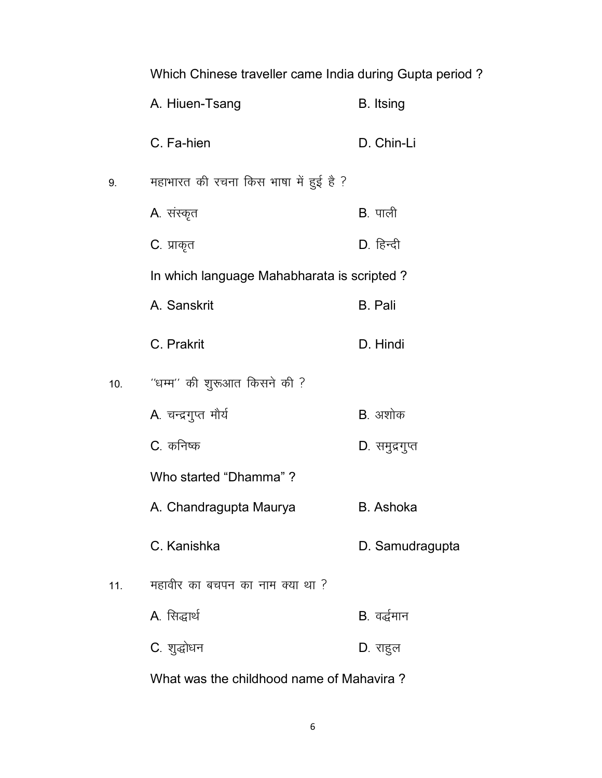|     | Which Chinese traveller came India during Gupta period? |                  |
|-----|---------------------------------------------------------|------------------|
|     | A. Hiuen-Tsang                                          | <b>B.</b> Itsing |
|     | C. Fa-hien                                              | D. Chin-Li       |
| 9.  | महाभारत की रचना किस भाषा में हुई है ?                   |                  |
|     | A. संस्कृत                                              | $B.$ पाली        |
|     | C. प्राकृत                                              | D. हिन्दी        |
|     | In which language Mahabharata is scripted?              |                  |
|     | A. Sanskrit                                             | <b>B.</b> Pali   |
|     | C. Prakrit                                              | D. Hindi         |
|     |                                                         |                  |
| 10. | "धम्म" की शुरूआत किसने की ?                             |                  |
|     | A. चन्द्रगुप्त मौर्य                                    | B. अशोक          |
|     | C. कनिष्क                                               | D. समुद्रगुप्त   |
|     | Who started "Dhamma" ?                                  |                  |
|     | A. Chandragupta Maurya                                  | <b>B.</b> Ashoka |
|     | C. Kanishka                                             | D. Samudragupta  |
| 11. | महावीर का बचपन का नाम क्या था ?                         |                  |
|     | A. सिद्धार्थ                                            | B. वर्द्धमान     |

What was the childhood name of Mahavira ?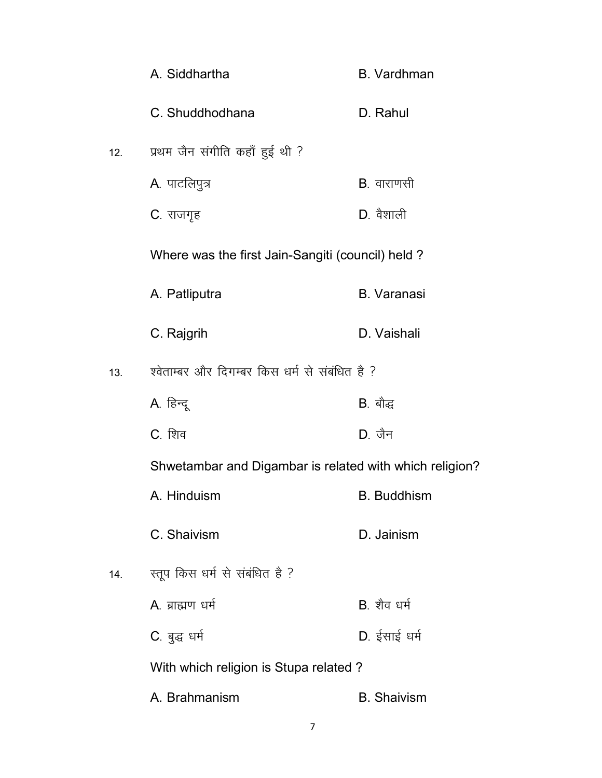|     | A. Siddhartha                                           | <b>B.</b> Vardhman |
|-----|---------------------------------------------------------|--------------------|
|     | C. Shuddhodhana                                         | D. Rahul           |
| 12. | प्रथम जैन संगीति कहाँ हुई थी ?                          |                    |
|     | A. पाटलिपुत्र                                           | <b>B</b> . वाराणसी |
|     | C. राजगृह                                               | D. वैशाली          |
|     | Where was the first Jain-Sangiti (council) held?        |                    |
|     | A. Patliputra                                           | <b>B.</b> Varanasi |
|     | C. Rajgrih                                              | D. Vaishali        |
| 13. | श्वेताम्बर और दिगम्बर किस धर्म से संबंधित है ?          |                    |
|     | A. हिन्दू                                               | B. बौद्ध           |
|     | C. शिव                                                  | $D.$ जैन           |
|     | Shwetambar and Digambar is related with which religion? |                    |
|     | A. Hinduism                                             | <b>B.</b> Buddhism |
|     | C. Shaivism                                             | D. Jainism         |
| 14. | स्तूप किस धर्म से संबंधित है ?                          |                    |
|     | A. ब्राह्मण धर्म                                        | B शैव धर्म         |
|     | C. बुद्ध धर्म                                           | D. ईसाई धर्म       |
|     | With which religion is Stupa related?                   |                    |
|     | A. Brahmanism                                           | <b>B.</b> Shaivism |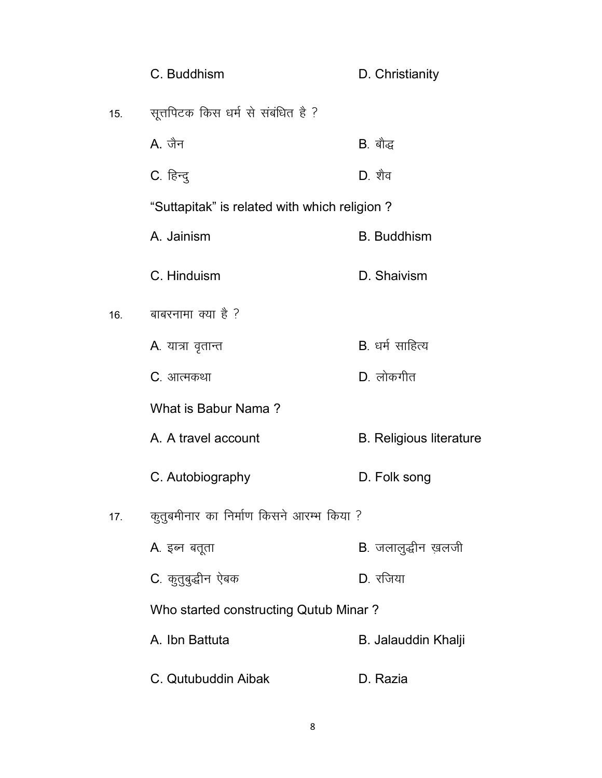|     | C. Buddhism                                  | D. Christianity                |
|-----|----------------------------------------------|--------------------------------|
| 15. | सूत्तपिटक किस धर्म से संबंधित है ?           |                                |
|     | A. जैन                                       | <b>B</b> . बौद्ध               |
|     | C. हिन्दु                                    | $D.$ शैव                       |
|     | "Suttapitak" is related with which religion? |                                |
|     | A. Jainism                                   | <b>B.</b> Buddhism             |
|     | C. Hinduism                                  | D. Shaivism                    |
| 16. | बाबरनामा क्या है ?                           |                                |
|     | A. यात्रा वृतान्त                            | B. धर्म साहित्य                |
|     | C. आत्मकथा                                   | D. लोकगीत                      |
|     | What is Babur Nama?                          |                                |
|     | A. A travel account                          | <b>B. Religious literature</b> |
|     | C. Autobiography                             | D. Folk song                   |
| 17. | कुतुबमीनार का निर्माण किसने आरम्भ किया ?     |                                |
|     | A. इब्न बतूता                                | B. जलालुद्धीन ख़लजी            |
|     | C. कुतुबुद्धीन ऐबक                           | D. रजिया                       |
|     | Who started constructing Qutub Minar?        |                                |
|     | A. Ibn Battuta                               | B. Jalauddin Khalji            |
|     | C. Qutubuddin Aibak                          | D. Razia                       |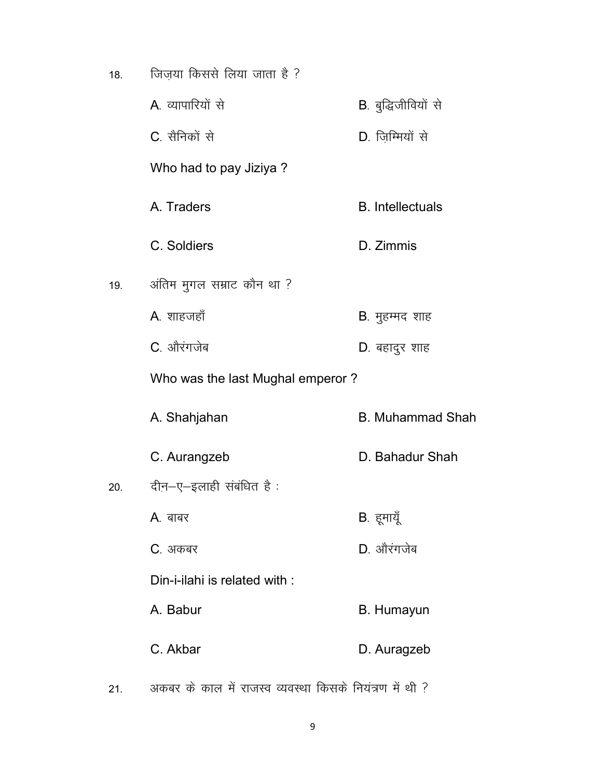| 18. | जिज़या किससे लिया जाता है ?      |                             |
|-----|----------------------------------|-----------------------------|
|     | A. व्यापारियों से                | <b>B</b> . बुद्धिजीवियों से |
|     | C. सैनिकों से                    | D. ज़िम्मियों से            |
|     | Who had to pay Jiziya ?          |                             |
|     | A. Traders                       | <b>B.</b> Intellectuals     |
|     | C. Soldiers                      | D. Zimmis                   |
| 19. | अंतिम मुगल सम्राट कौन था ?       |                             |
|     | A. शाहजहाँ                       | B. मुहम्मद शाह              |
|     | C. औरंगजेब                       | D. बहादुर शाह               |
|     | Who was the last Mughal emperor? |                             |
|     | A. Shahjahan                     | <b>B. Muhammad Shah</b>     |
|     | C. Aurangzeb                     | D. Bahadur Shah             |
| 20. | दीन–ए–इलाही संबंधित है :         |                             |
|     | A. बाबर                          | B. हूमायूँ                  |
|     | C. अकबर                          | D. औरंगजेब                  |
|     | Din-i-ilahi is related with:     |                             |
|     | A. Babur                         | <b>B.</b> Humayun           |
|     | C. Akbar                         | D. Auragzeb                 |
|     |                                  |                             |

 $21.$  अकबर के काल में राजस्व व्यवस्था किसके नियंत्रण में थी ?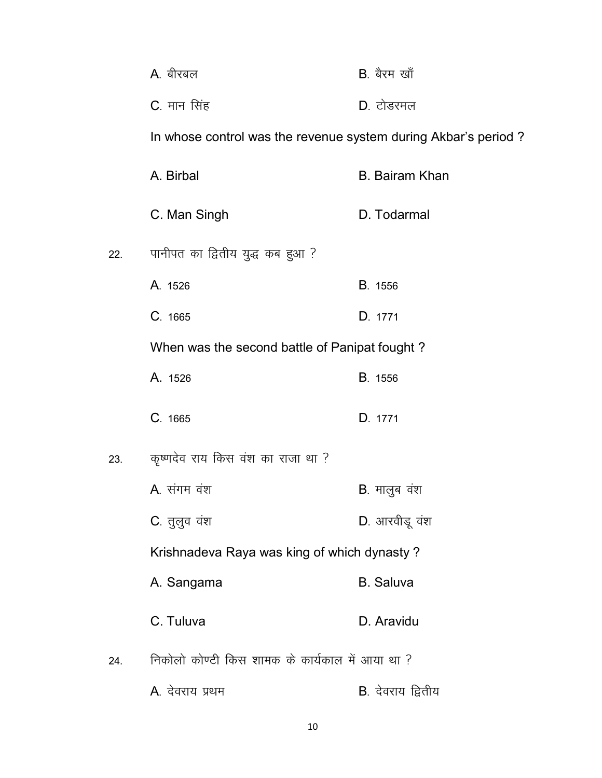|     | A. बीरबल                                                       | B. बैरम खाँ               |
|-----|----------------------------------------------------------------|---------------------------|
|     | C. मान सिंह                                                    | D. टोडरमल                 |
|     | In whose control was the revenue system during Akbar's period? |                           |
|     | A. Birbal                                                      | <b>B. Bairam Khan</b>     |
|     | C. Man Singh                                                   | D. Todarmal               |
| 22. | पानीपत का द्वितीय युद्ध कब हुआ ?                               |                           |
|     | A. 1526                                                        | <b>B.</b> 1556            |
|     | C. 1665                                                        | D. 1771                   |
|     | When was the second battle of Panipat fought?                  |                           |
|     | A. 1526                                                        | <b>B.</b> 1556            |
|     | C. 1665                                                        | D. 1771                   |
| 23. | कृष्णदेव राय किस वंश का राजा था ?                              |                           |
|     | A. संगम वंश                                                    | <b>B</b> . मालुब वंश      |
|     | C. तुलुव वंश                                                   | D. आरवीडू वंश             |
|     | Krishnadeva Raya was king of which dynasty?                    |                           |
|     | A. Sangama                                                     | <b>B.</b> Saluva          |
|     | C. Tuluva                                                      | D. Aravidu                |
| 24. | निकोलो कोण्टी किस शामक के कार्यकाल में आया था ?                |                           |
|     | A. देवराय प्रथम                                                | <b>B</b> . देवराय द्वितीय |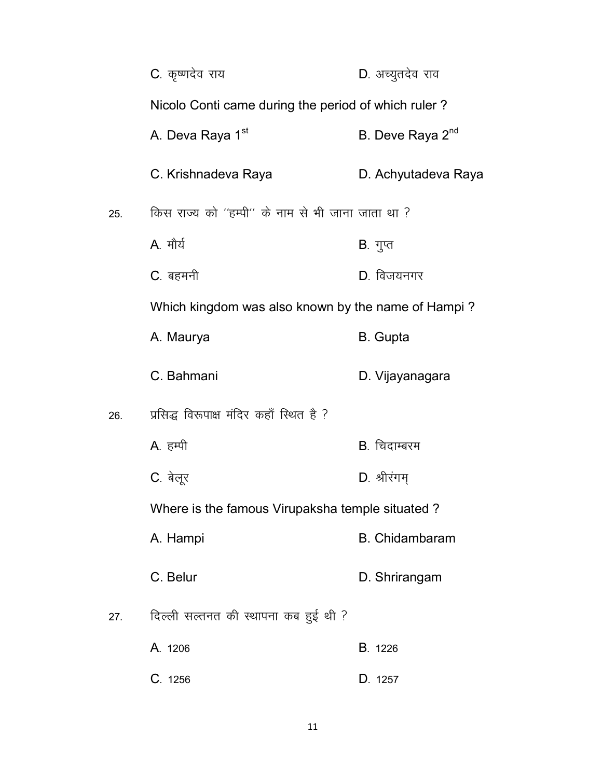|     | C. कृष्णदेव राय                                     | D. अच्यूतदेव राव             |
|-----|-----------------------------------------------------|------------------------------|
|     | Nicolo Conti came during the period of which ruler? |                              |
|     | A. Deva Raya 1 <sup>st</sup>                        | B. Deve Raya 2 <sup>nd</sup> |
|     | C. Krishnadeva Raya                                 | D. Achyutadeva Raya          |
| 25. | किस राज्य को ''हम्पी'' के नाम से भी जाना जाता था ?  |                              |
|     | A. मौर्य                                            | B. गुप्त                     |
|     | C. बहमनी                                            | D. विजयनगर                   |
|     | Which kingdom was also known by the name of Hampi?  |                              |
|     | A. Maurya                                           | <b>B.</b> Gupta              |
|     | C. Bahmani                                          | D. Vijayanagara              |
| 26. | प्रसिद्ध विरूपाक्ष मंदिर कहाँ स्थित है ?            |                              |
|     | A. हम्पी                                            | B. चिदाम्बरम                 |
|     | C. बेलूर                                            | D. श्रीरंगम्                 |
|     | Where is the famous Virupaksha temple situated?     |                              |
|     | A. Hampi                                            | <b>B.</b> Chidambaram        |
|     | C. Belur                                            | D. Shrirangam                |
| 27. | दिल्ली सल्तनत की स्थापना कब हुई थी ?                |                              |
|     | A. 1206                                             | <b>B</b> . 1226              |
|     | C. 1256                                             | D. 1257                      |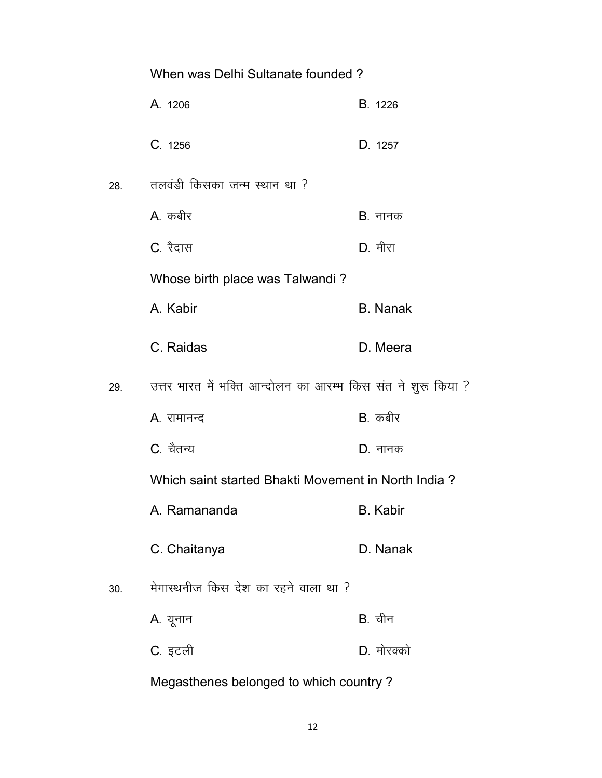|     | When was Delhi Sultanate founded?                            |                 |
|-----|--------------------------------------------------------------|-----------------|
|     | A. 1206                                                      | <b>B</b> . 1226 |
|     | C. 1256                                                      | D. 1257         |
| 28. | तलवंडी किसका जन्म स्थान था ?                                 |                 |
|     | A. कबीर                                                      | B. नानक         |
|     | C. रैदास                                                     | D. मीरा         |
|     | Whose birth place was Talwandi?                              |                 |
|     | A. Kabir                                                     | <b>B.</b> Nanak |
|     | C. Raidas                                                    | D. Meera        |
| 29. | उत्तर भारत में भक्ति आन्दोलन का आरम्भ किस संत ने शुरू किया ? |                 |
|     |                                                              |                 |
|     | A. रामानन्द                                                  | B. कबीर         |
|     | C. चैतन्य                                                    | D. नानक         |
|     | Which saint started Bhakti Movement in North India?          |                 |
|     | A. Ramananda                                                 | <b>B.</b> Kabir |
|     | C. Chaitanya                                                 | D. Nanak        |
| 30. | मेगास्थनीज किस देश का रहने वाला था ?                         |                 |
|     | A. यूनान                                                     | <b>B</b> . चीन  |
|     | C. इटली                                                      | D. मोरक्को      |

Megasthenes belonged to which country ?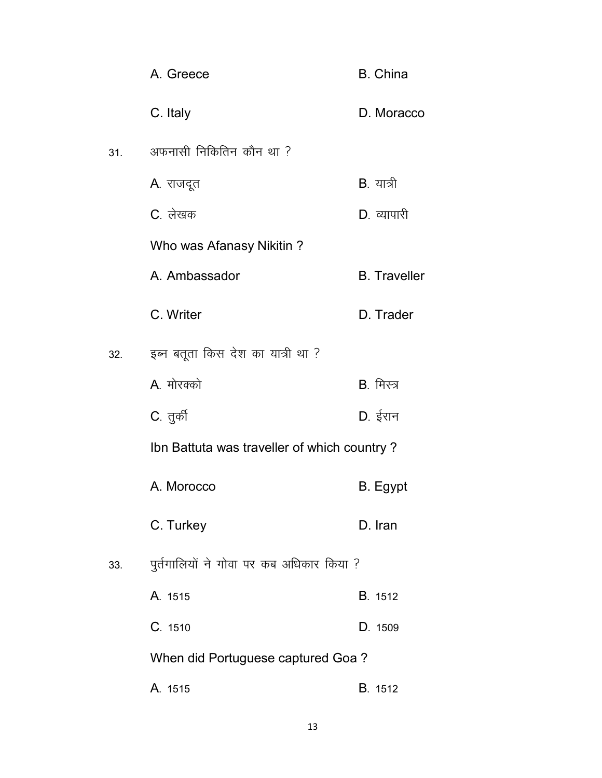|     | A. Greece                                   | <b>B.</b> China     |
|-----|---------------------------------------------|---------------------|
|     | C. Italy                                    | D. Moracco          |
| 31. | अफनासी निकितिन कौन था ?                     |                     |
|     | A. राजदूत                                   | B. यात्री           |
|     | C. लेखक                                     | D. व्यापारी         |
|     | Who was Afanasy Nikitin?                    |                     |
|     | A. Ambassador                               | <b>B.</b> Traveller |
|     | C. Writer                                   | D. Trader           |
| 32. | इब्न बतूता किस देश का यात्री था ?           |                     |
|     | A मोरक्को                                   | B. मिस्त्र          |
|     | C. तुर्की                                   | D. ईरान             |
|     | Ibn Battuta was traveller of which country? |                     |
|     | A. Morocco                                  | B. Egypt            |
|     | C. Turkey                                   | D. Iran             |
| 33. | पुर्तगालियों ने गोवा पर कब अधिकार किया ?    |                     |
|     | A. 1515                                     | <b>B</b> . 1512     |
|     | C. 1510                                     | D. 1509             |
|     | When did Portuguese captured Goa?           |                     |
|     | A. 1515                                     | <b>B</b> . 1512     |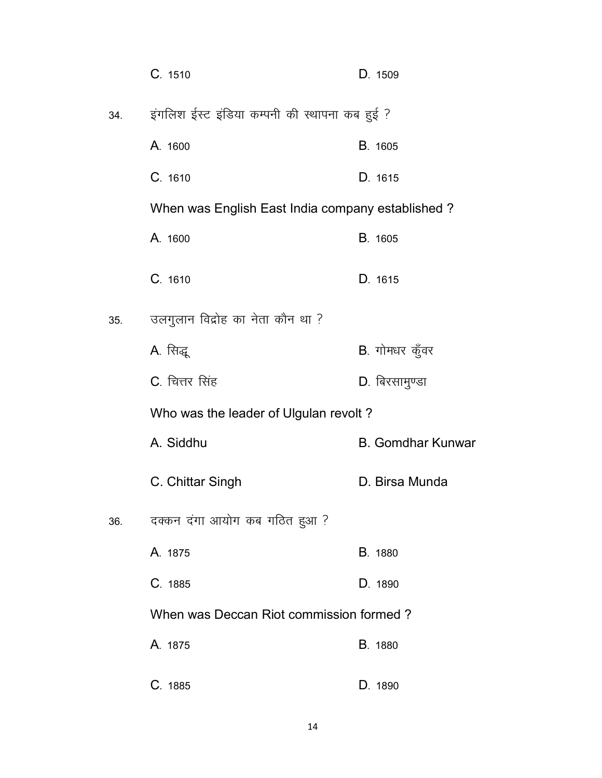|     | C. 1510                                          | D. 1509                  |
|-----|--------------------------------------------------|--------------------------|
| 34. | इंगलिश ईस्ट इंडिया कम्पनी की स्थापना कब हुई ?    |                          |
|     | A. 1600                                          | <b>B.</b> 1605           |
|     | C. 1610                                          | D. 1615                  |
|     | When was English East India company established? |                          |
|     | A. 1600                                          | <b>B.</b> 1605           |
|     | C.1610                                           | D. 1615                  |
| 35. | उलगुलान विद्रोह का नेता कौन था ?                 |                          |
|     | A. सिद्धू                                        | B. गोमधर कुँवर           |
|     | C. चित्तर सिंह                                   | D. बिरसामुण्डा           |
|     | Who was the leader of Ulgulan revolt?            |                          |
|     | A. Siddhu                                        | <b>B. Gomdhar Kunwar</b> |
|     | C. Chittar Singh                                 | D. Birsa Munda           |
| 36. | दक्कन दंगा आयोग कब गठित हुआ ?                    |                          |
|     | A. 1875                                          | B. 1880                  |
|     | C. 1885                                          | D. 1890                  |
|     | When was Deccan Riot commission formed?          |                          |
|     | A. 1875                                          | <b>B.</b> 1880           |
|     | C. 1885                                          | D. 1890                  |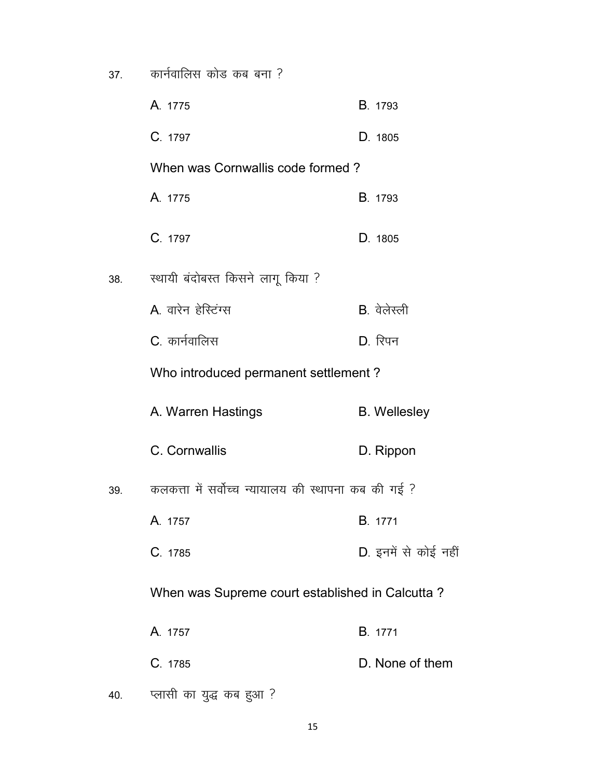$37.$  कार्नवालिस कोड कब बना ?

|     | A. 1775                                             | <b>B</b> . 1793      |
|-----|-----------------------------------------------------|----------------------|
|     | C. 1797                                             | D. 1805              |
|     | When was Cornwallis code formed?                    |                      |
|     | A. 1775                                             | <b>B.</b> 1793       |
|     | C. 1797                                             | D. 1805              |
| 38. | स्थायी बंदोबस्त किसने लागू किया ?                   |                      |
|     | A वारेन हेरिटंग्स                                   | B. वेलेस्ली          |
|     | C. कार्नवालिस                                       | $D.$ रिपन            |
|     | Who introduced permanent settlement?                |                      |
|     | A. Warren Hastings                                  | <b>B.</b> Wellesley  |
|     | C. Cornwallis                                       | D. Rippon            |
| 39. | कलकत्ता में सर्वोच्च न्यायालय की स्थापना कब की गई ? |                      |
|     | A. 1757                                             | <b>B.</b> 1771       |
|     | C. 1785                                             | D. इनमें से कोई नहीं |
|     | When was Supreme court established in Calcutta?     |                      |
|     | A. 1757                                             | <b>B</b> . 1771      |
|     | C. 1785                                             | D. None of them      |
| 40. | प्लासी का युद्ध कब हुआ ?                            |                      |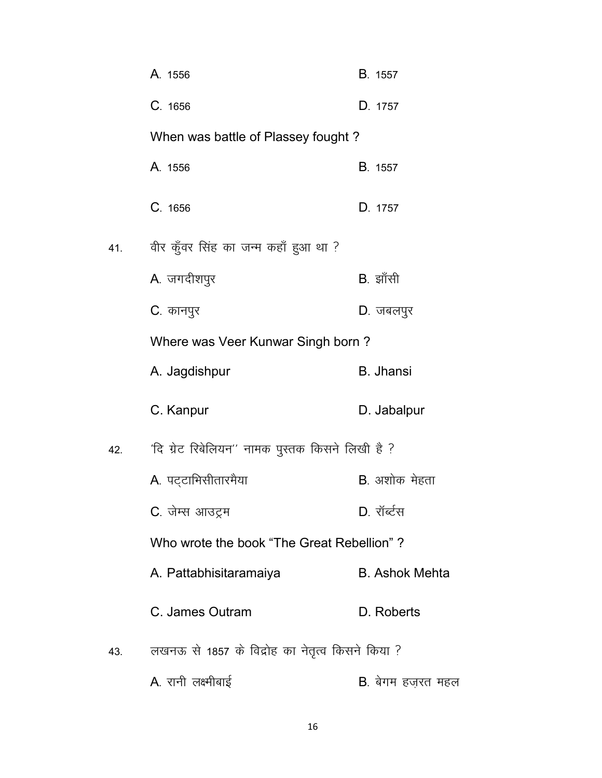|     | A. 1556                                          | <b>B.</b> 1557            |
|-----|--------------------------------------------------|---------------------------|
|     | C. 1656                                          | D. 1757                   |
|     | When was battle of Plassey fought?               |                           |
|     | A. 1556                                          | <b>B</b> . 1557           |
|     | C. 1656                                          | D. 1757                   |
| 41. | वीर कुँवर सिंह का जन्म कहाँ हुआ था ?             |                           |
|     | A. जगदीशपुर                                      | B. झाँसी                  |
|     | C. कानपुर                                        | D. जबलपुर                 |
|     | Where was Veer Kunwar Singh born?                |                           |
|     | A. Jagdishpur                                    | <b>B.</b> Jhansi          |
|     | C. Kanpur                                        | D. Jabalpur               |
| 42. | 'दि ग्रेट रिबेलियन'' नामक पुस्तक किसने लिखी है ? |                           |
|     | A. पट्टाभिसीतारमैया                              | <b>B</b> . अशोक मेहता     |
|     | C. जेम्स आउट्रम                                  | D. रॉर्ब्टस               |
|     | Who wrote the book "The Great Rebellion"?        |                           |
|     | A. Pattabhisitaramaiya                           | <b>B. Ashok Mehta</b>     |
|     | C. James Outram                                  | D. Roberts                |
| 43. | लखनऊ से 1857 के विद्रोह का नेतृत्व किसने किया ?  |                           |
|     | A. रानी लक्ष्मीबाई                               | <b>B</b> . बेगम हज़रत महल |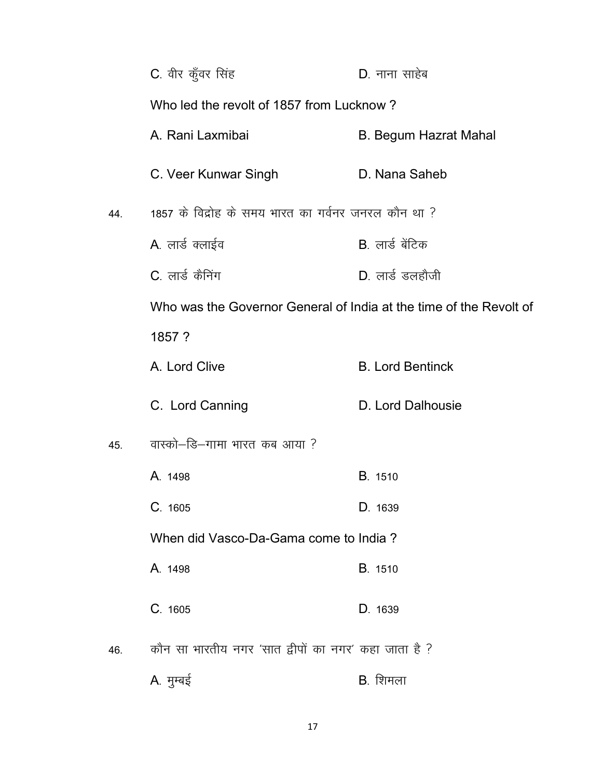|     | C. वीर कुँवर सिंह                                                  | D. नाना साहेब                |  |
|-----|--------------------------------------------------------------------|------------------------------|--|
|     | Who led the revolt of 1857 from Lucknow?                           |                              |  |
|     | A. Rani Laxmibai                                                   | <b>B. Begum Hazrat Mahal</b> |  |
|     | C. Veer Kunwar Singh                                               | D. Nana Saheb                |  |
| 44. | 1857 के विद्रोह के समय भारत का गर्वनर जनरल कौन था ?                |                              |  |
|     | A. लार्ड क्लाईव                                                    | B. लार्ड बेंटिक              |  |
|     | C. लार्ड कैनिंग                                                    | $D.$ लार्ड डलहौजी            |  |
|     | Who was the Governor General of India at the time of the Revolt of |                              |  |
|     | 1857 ?                                                             |                              |  |
|     | A. Lord Clive                                                      | <b>B. Lord Bentinck</b>      |  |
|     | C. Lord Canning                                                    | D. Lord Dalhousie            |  |
| 45. | वास्को–डि–गामा भारत कब आया ?                                       |                              |  |
|     | A. 1498                                                            | <b>B.</b> 1510               |  |
|     | C. 1605                                                            | D. 1639                      |  |
|     | When did Vasco-Da-Gama come to India?                              |                              |  |
|     | A. 1498                                                            | B. 1510                      |  |
|     | C. 1605                                                            | D. 1639                      |  |
| 46. | कौन सा भारतीय नगर 'सात द्वीपों का नगर' कहा जाता है ?               |                              |  |
|     | A. मुम्बई                                                          | B. शिमला                     |  |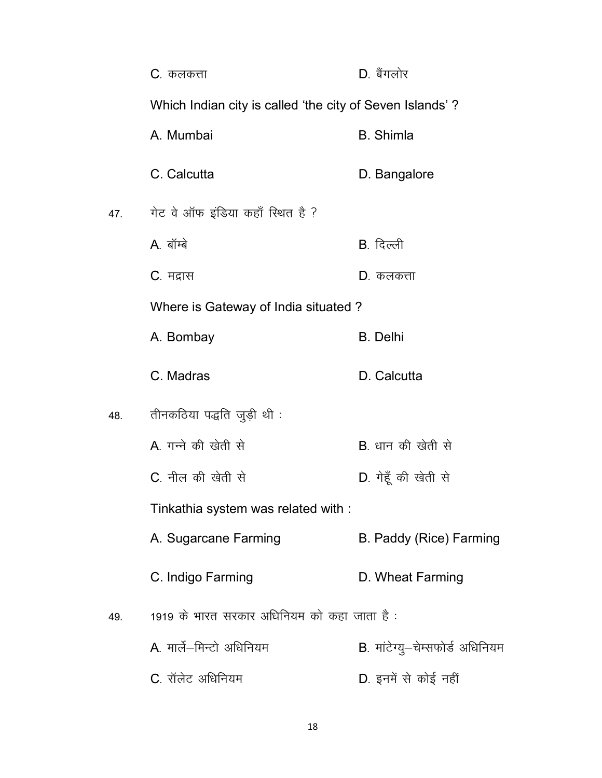|     | C. कलकत्ता                                               | D. बैंगलोर                      |
|-----|----------------------------------------------------------|---------------------------------|
|     | Which Indian city is called 'the city of Seven Islands'? |                                 |
|     | A. Mumbai                                                | <b>B.</b> Shimla                |
|     | C. Calcutta                                              | D. Bangalore                    |
| 47. | गेट वे ऑफ इंडिया कहाँ स्थित है ?                         |                                 |
|     | A. बॉम्बे                                                | B. दिल्ली                       |
|     | C. मद्रास                                                | <b>D</b> . कलकत्ता              |
|     | Where is Gateway of India situated?                      |                                 |
|     | A. Bombay                                                | <b>B.</b> Delhi                 |
|     | C. Madras                                                | D. Calcutta                     |
| 48. | तीनकठिया पद्धति जुड़ी थी:                                |                                 |
|     | A. गन्ने की खेती से                                      | <b>B</b> . धान की खेती से       |
|     | C. नील की खेती से                                        | D. गेहूँ की खेती से             |
|     | Tinkathia system was related with :                      |                                 |
|     | A. Sugarcane Farming                                     | B. Paddy (Rice) Farming         |
|     | C. Indigo Farming                                        | D. Wheat Farming                |
| 49. | 1919 के भारत सरकार अधिनियम को कहा जाता है:               |                                 |
|     | A. मार्ले-मिन्टो अधिनियम                                 | B. मांटेग्यु-चेम्सफोर्ड अधिनियम |
|     | C. रॉलेट अधिनियम                                         | D. इनमें से कोई नहीं            |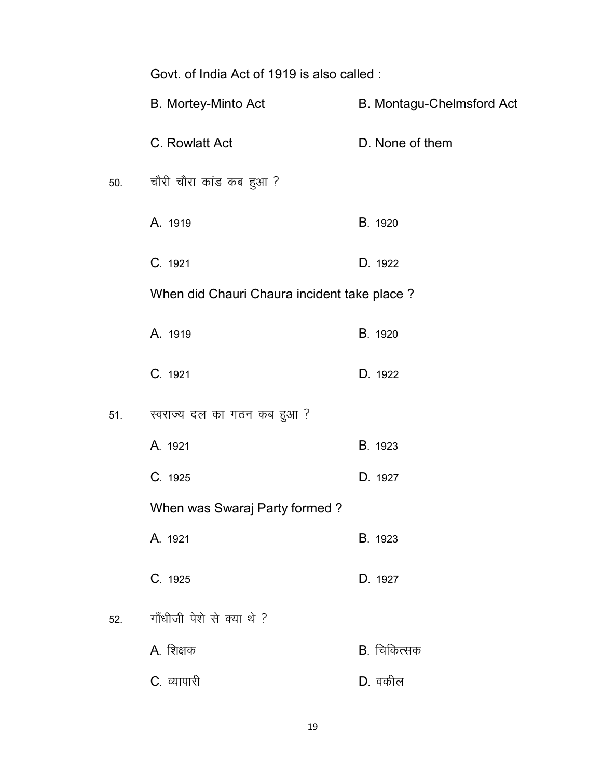|     | Govt. of India Act of 1919 is also called : |                           |  |
|-----|---------------------------------------------|---------------------------|--|
|     | B. Mortey-Minto Act                         | B. Montagu-Chelmsford Act |  |
|     | C. Rowlatt Act                              | D. None of them           |  |
| 50. | चौरी चौरा कांड कब हुआ ?                     |                           |  |
|     | A. 1919                                     | B. 1920                   |  |
|     | C. 1921                                     | D. 1922                   |  |
|     | When did Chauri Chaura incident take place? |                           |  |
|     | A. 1919                                     | B. 1920                   |  |
|     | C. 1921                                     | D. 1922                   |  |
| 51. | स्वराज्य दल का गठन कब हुआ?                  |                           |  |
|     | A. 1921                                     | B. 1923                   |  |
|     | C. 1925                                     | D. 1927                   |  |
|     | When was Swaraj Party formed?               |                           |  |
|     | A. 1921                                     | B. 1923                   |  |
|     | C. 1925                                     | D. 1927                   |  |
| 52. | गाँधीजी पेशे से क्या थे ?                   |                           |  |
|     | A. शिक्षक                                   | B. चिकित्सक               |  |
|     | C. व्यापारी                                 | $D.$ वकील                 |  |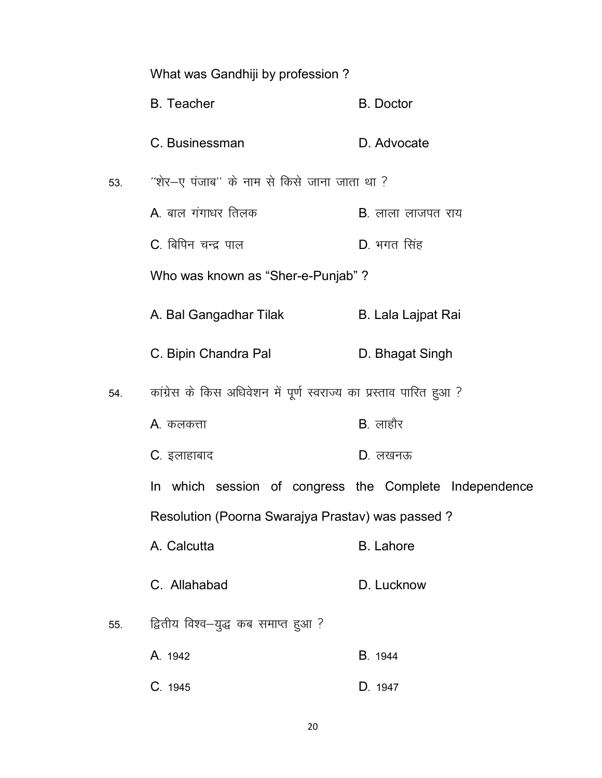|     | What was Gandhiji by profession?                                   |                           |  |
|-----|--------------------------------------------------------------------|---------------------------|--|
|     | <b>B.</b> Teacher                                                  | <b>B.</b> Doctor          |  |
|     | C. Businessman                                                     | D. Advocate               |  |
| 53. | "शेर—ए पंजाब" के नाम से किसे जाना जाता था ?                        |                           |  |
|     | A. बाल गंगाधर तिलक                                                 | <b>B</b> . लाला लाजपत राय |  |
|     | C. बिपिन चन्द्र पाल                                                | D. भगत सिंह               |  |
|     | Who was known as "Sher-e-Punjab"?                                  |                           |  |
|     | A. Bal Gangadhar Tilak                                             | <b>B. Lala Lajpat Rai</b> |  |
|     | C. Bipin Chandra Pal                                               | D. Bhagat Singh           |  |
| 54. | कांग्रेस के किस अधिवेशन में पूर्ण स्वराज्य का प्रस्ताव पारित हुआ ? |                           |  |
|     | A. कलकत्ता                                                         | $B.$ लाहौर                |  |
|     | C. इलाहाबाद                                                        | $D.$ लखनऊ                 |  |
|     | In which session of congress the Complete Independence             |                           |  |
|     | Resolution (Poorna Swarajya Prastav) was passed?                   |                           |  |
|     | A. Calcutta                                                        | <b>B.</b> Lahore          |  |
|     | C. Allahabad                                                       | D. Lucknow                |  |
| 55. | द्वितीय विश्व—युद्ध कब समाप्त हुआ ?                                |                           |  |
|     | A. 1942                                                            | <b>B.</b> 1944            |  |
|     | C. 1945                                                            | D. 1947                   |  |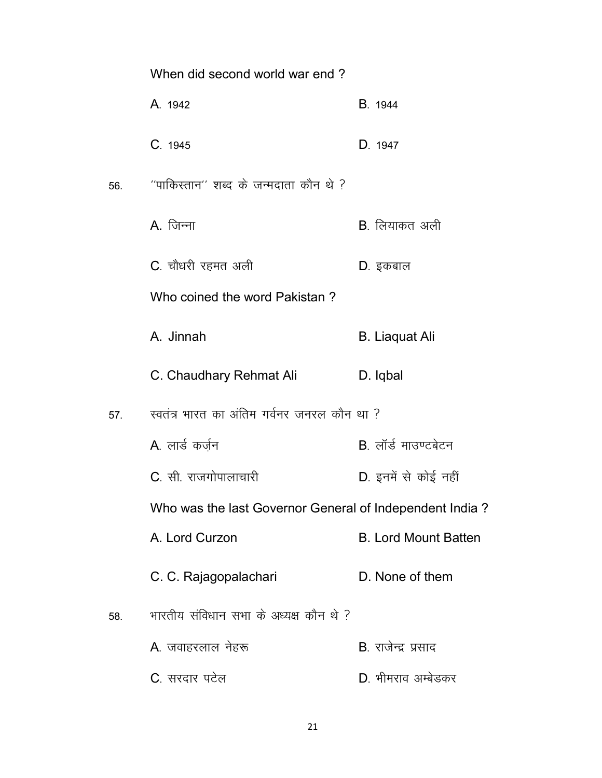|     | When did second world war end?                          |                             |
|-----|---------------------------------------------------------|-----------------------------|
|     | A. 1942                                                 | <b>B</b> . 1944             |
|     | C. 1945                                                 | D. 1947                     |
| 56. | ''पाकिस्तान'' शब्द के जन्मदाता कौन थे ?                 |                             |
|     | $A.$ जिन्ना                                             | <b>B</b> . लियाकत अली       |
|     | C. चौधरी रहमत अली                                       | D. इकबाल                    |
|     | Who coined the word Pakistan?                           |                             |
|     | A. Jinnah                                               | <b>B.</b> Liaquat Ali       |
|     | C. Chaudhary Rehmat Ali                                 | D. Iqbal                    |
| 57. | स्वतंत्र भारत का अंतिम गर्वनर जनरल कौन था ?             |                             |
|     | A. लार्ड कर्जुन                                         | B. लॉर्ड माउण्टबेटन         |
|     | C. सी. राजगोपालाचारी                                    | D. इनमें से कोई नहीं        |
|     | Who was the last Governor General of Independent India? |                             |
|     | A. Lord Curzon                                          | <b>B. Lord Mount Batten</b> |
|     | C. C. Rajagopalachari                                   | D. None of them             |
| 58. | भारतीय संविधान सभा के अध्यक्ष कौन थे ?                  |                             |
|     | A. जवाहरलाल नेहरू                                       | <b>B</b> . राजेन्द्र प्रसाद |
|     | C. सरदार पटेल                                           | D. भीमराव अम्बेडकर          |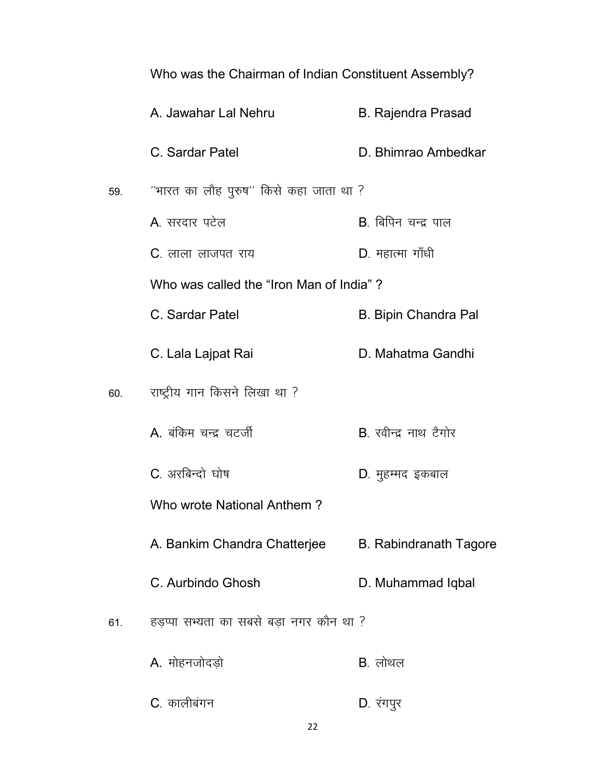|     | Who was the Chairman of Indian Constituent Assembly? |                               |  |
|-----|------------------------------------------------------|-------------------------------|--|
|     | A. Jawahar Lal Nehru                                 | <b>B. Rajendra Prasad</b>     |  |
|     | C. Sardar Patel                                      | D. Bhimrao Ambedkar           |  |
| 59. | ''भारत का लौह पुरुष'' किसे कहा जाता था ?             |                               |  |
|     | A सरदार पटेल                                         | B. बिपिन चन्द्र पाल           |  |
|     | <b>C</b> . लाला लाजपत राय                            | D. महात्मा गाँधी              |  |
|     | Who was called the "Iron Man of India"?              |                               |  |
|     | C. Sardar Patel                                      | <b>B. Bipin Chandra Pal</b>   |  |
|     | C. Lala Lajpat Rai                                   | D. Mahatma Gandhi             |  |
| 60. | राष्ट्रीय गान किसने लिखा था ?                        |                               |  |
|     | A. बंकिम चन्द्र चटर्जी                               | B. रवीन्द्र नाथ टैगोर         |  |
|     | C. अरबिन्दो घोष                                      | D. मुहम्मद इकबाल              |  |
|     | Who wrote National Anthem?                           |                               |  |
|     | A. Bankim Chandra Chatterjee                         | <b>B. Rabindranath Tagore</b> |  |
|     | C. Aurbindo Ghosh                                    | D. Muhammad Iqbal             |  |
| 61. | हड़प्पा सभ्यता का सबसे बड़ा नगर कौन था ?             |                               |  |
|     | A. मोहनजोदड़ो                                        | $B.$ लोथल                     |  |
|     | C. कालीबंगन                                          | D. रंगपुर                     |  |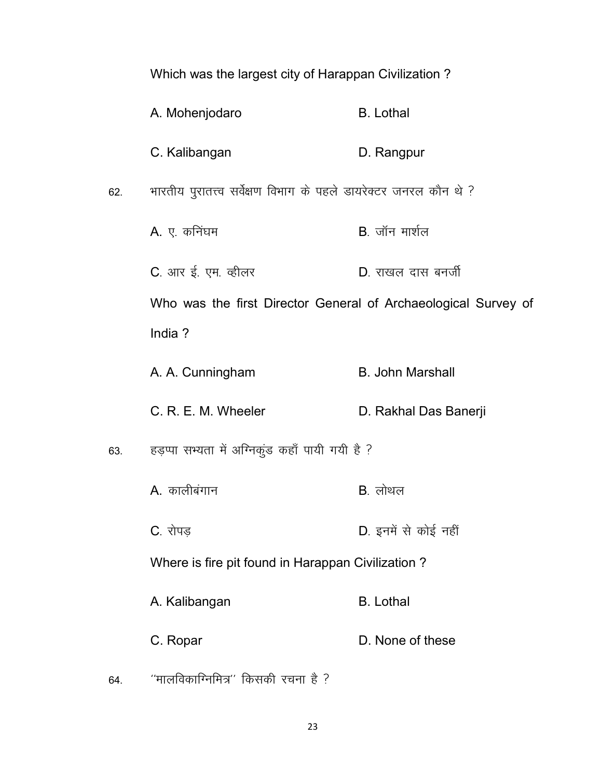|     | Which was the largest city of Harappan Civilization?              |                         |  |
|-----|-------------------------------------------------------------------|-------------------------|--|
|     | A. Mohenjodaro                                                    | <b>B.</b> Lothal        |  |
|     | C. Kalibangan                                                     | D. Rangpur              |  |
| 62. | भारतीय पुरातत्त्व सर्वेक्षण विभाग के पहले डायरेक्टर जनरल कौन थे ? |                         |  |
|     | A. ए. कनिंघम                                                      | $B.$ जॉन मार्शल         |  |
|     | C. आर ई. एम. व्हीलर                                               | D. राखल दास बनर्जी      |  |
|     | Who was the first Director General of Archaeological Survey of    |                         |  |
|     | India?                                                            |                         |  |
|     | A. A. Cunningham                                                  | <b>B. John Marshall</b> |  |
|     | C. R. E. M. Wheeler                                               | D. Rakhal Das Banerji   |  |
| 63. | हड़प्पा सभ्यता में अग्निकुंड कहाँ पायी गयी है ?                   |                         |  |
|     | A. कालीबंगान                                                      | B. लोथल                 |  |
|     | C. रोपड                                                           | D. इनमें से कोई नहीं    |  |
|     | Where is fire pit found in Harappan Civilization?                 |                         |  |
|     | A. Kalibangan                                                     | <b>B.</b> Lothal        |  |
|     | C. Ropar                                                          | D. None of these        |  |
| 64. | ''मालविकाग्निमित्र'' किसकी रचना है ?                              |                         |  |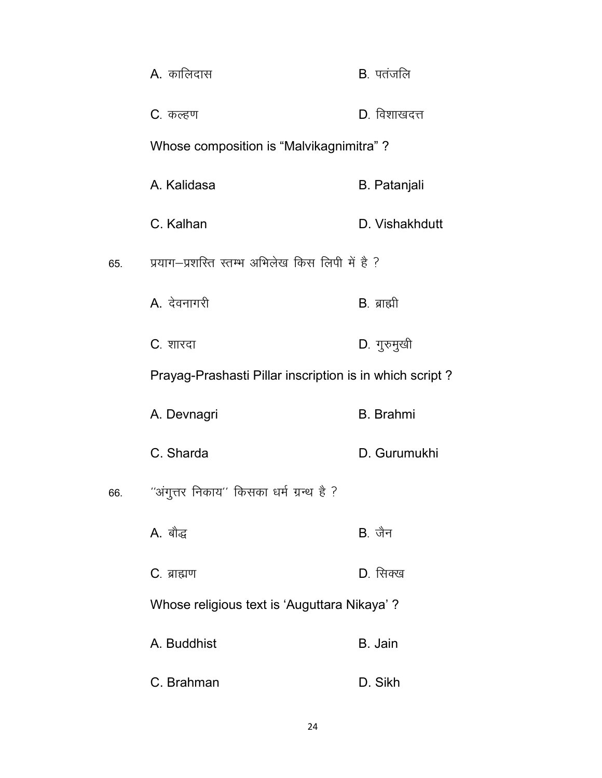|     | <b>A</b> . कालिदास                                      | B. पतंजलि           |
|-----|---------------------------------------------------------|---------------------|
|     | C. कल्हण                                                | D. विशाखदत्त        |
|     | Whose composition is "Malvikagnimitra"?                 |                     |
|     | A. Kalidasa                                             | <b>B.</b> Patanjali |
|     | C. Kalhan                                               | D. Vishakhdutt      |
| 65. | प्रयाग-प्रशस्ति स्तम्भ अभिलेख किस लिपी में है ?         |                     |
|     | A. देवनागरी                                             | $B.$ ब्राह्मी       |
|     | C. शारदा                                                | D. गुरुमुखी         |
|     | Prayag-Prashasti Pillar inscription is in which script? |                     |
|     | A. Devnagri                                             | <b>B.</b> Brahmi    |
|     | C. Sharda                                               | D. Gurumukhi        |
| 66. | ''अंगुत्तर निकाय'' किसका धर्म ग्रन्थ है ?               |                     |
|     | A. बौद्ध                                                | $B.$ जैन            |
|     | C. ब्राह्मण                                             | D. सिक्ख            |
|     | Whose religious text is 'Auguttara Nikaya' ?            |                     |
|     | A. Buddhist                                             | B. Jain             |
|     | C. Brahman                                              | D. Sikh             |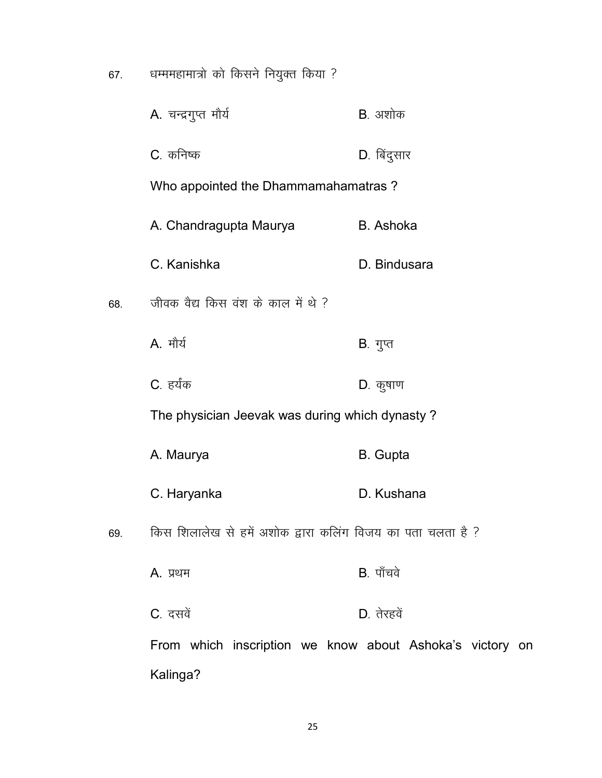| 67. | धम्ममहामात्रो को किसने नियुक्त किया ? |                 |
|-----|---------------------------------------|-----------------|
|     | A. चन्द्रगुप्त मौर्य                  | <b>B</b> . अशोक |

C. कनिष्क बाद्धा प्रकार D. बिंदुसार

Who appointed the Dhammamahamatras ?

- A. Chandragupta Maurya B. Ashoka
- C. Kanishka D. Bindusara
- 68. जीवक वैद्य किस वंश के काल में थे ?
	- A. मौर्य काला का सामान करते हैं। सुप्त
	- C. हर्यंक बाद्धा प्रकार करने पर प्रकार D. कृषाण

The physician Jeevak was during which dynasty ?

- A. Maurya **B.** Gupta
- C. Haryanka D. Kushana
- 69. **किस शिलालेख से हमें अशोक द्वारा कलिंग** विजय का पता चलता है ?
	- A. प्रथम बाद्ध करते हैं: पाँचवे
	- $C_{\cdot}$  दसवें  $D_{\cdot}$  तेरहवें

From which inscription we know about Ashoka's victory on Kalinga?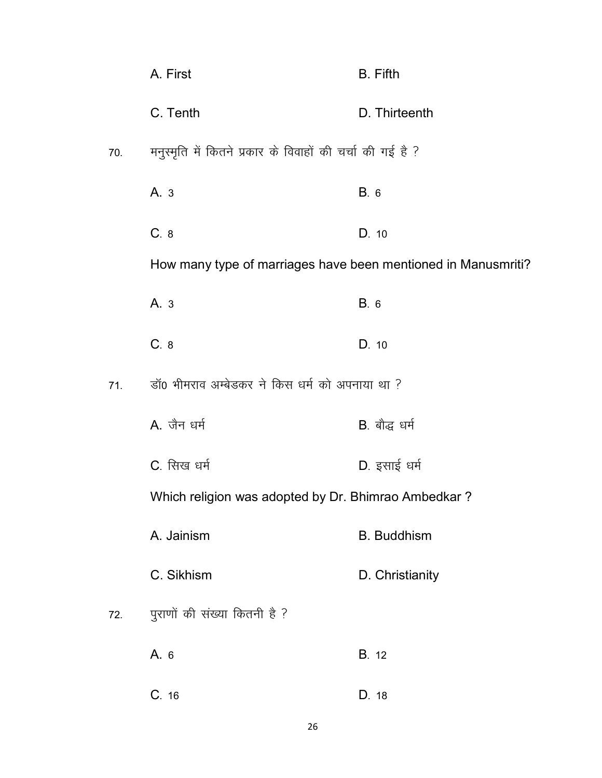|     | A. First                                                      | <b>B.</b> Fifth    |  |
|-----|---------------------------------------------------------------|--------------------|--|
|     | C. Tenth                                                      | D. Thirteenth      |  |
| 70. | मनुस्मृति में कितने प्रकार के विवाहों की चर्चा की गई है ?     |                    |  |
|     | A. 3                                                          | B. 6               |  |
|     | C.8                                                           | D. 10              |  |
|     | How many type of marriages have been mentioned in Manusmriti? |                    |  |
|     | A. 3                                                          | B. 6               |  |
|     | C. 8                                                          | D. 10              |  |
| 71. | डॉ0 भीमराव अम्बेडकर ने किस धर्म को अपनाया था ?                |                    |  |
|     | A. जैन धर्म                                                   | B. बौद्ध धर्म      |  |
|     | C. सिख धर्म                                                   | D. इसाई धर्म       |  |
|     | Which religion was adopted by Dr. Bhimrao Ambedkar?           |                    |  |
|     | A. Jainism                                                    | <b>B.</b> Buddhism |  |
|     | C. Sikhism                                                    | D. Christianity    |  |
| 72. | पुराणों की संख्या कितनी है ?                                  |                    |  |
|     | A. 6                                                          | <b>B.</b> 12       |  |
|     | C.16                                                          | D. 18              |  |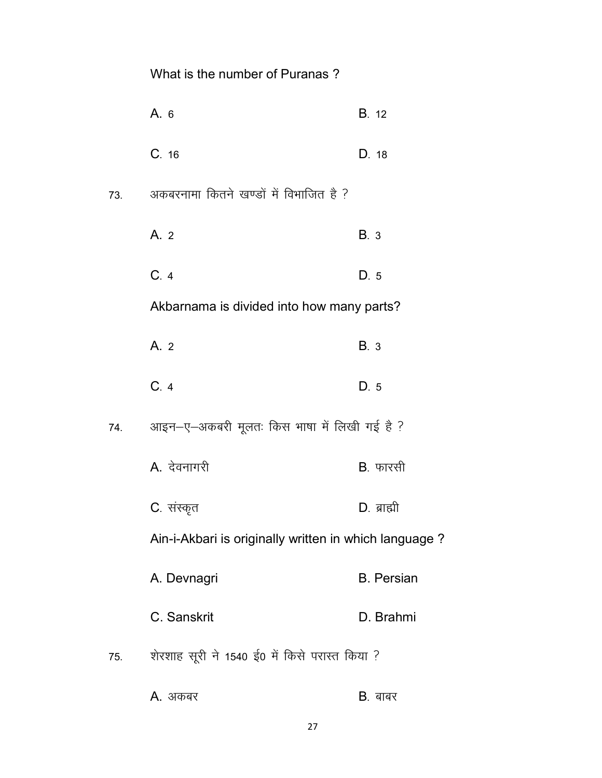|     | What is the number of Puranas?                        |                   |
|-----|-------------------------------------------------------|-------------------|
|     | A. 6                                                  | <b>B.</b> 12      |
|     | C. 16                                                 | D. 18             |
| 73. | अकबरनामा कितने खण्डों में विभाजित है ?                |                   |
|     | A. 2                                                  | <b>B.</b> 3       |
|     | C.4                                                   | D. 5              |
|     | Akbarnama is divided into how many parts?             |                   |
|     | A. 2                                                  | B. 3              |
|     | C.4                                                   | D.5               |
| 74. | आइन-ए-अकबरी मूलतः किस भाषा में लिखी गई है ?           |                   |
|     | A. देवनागरी                                           | B. फारसी          |
|     | C. संस्कृत                                            | D. ब्राह्मी       |
|     | Ain-i-Akbari is originally written in which language? |                   |
|     | A. Devnagri                                           | <b>B.</b> Persian |
|     | C. Sanskrit                                           | D. Brahmi         |
| 75. | शेरशाह सूरी ने 1540 ई0 में किसे परास्त किया ?         |                   |
|     | A. अकबर                                               | $B.$ बाबर         |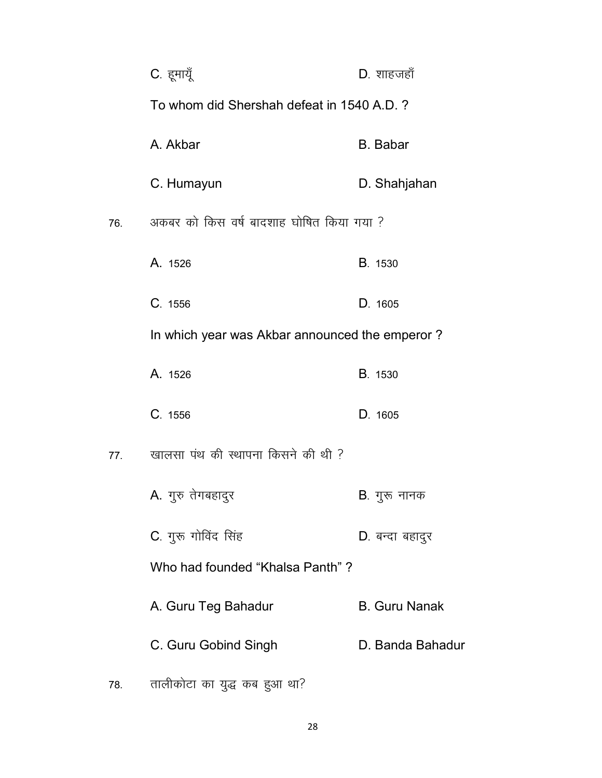|     | C. हूमायूँ                                     | $D.$ शाहजहाँ         |
|-----|------------------------------------------------|----------------------|
|     | To whom did Shershah defeat in 1540 A.D.?      |                      |
|     | A. Akbar                                       | <b>B.</b> Babar      |
|     | C. Humayun                                     | D. Shahjahan         |
| 76. | अकबर को किस वर्ष बादशाह घोषित किया गया ?       |                      |
|     | A. 1526                                        | <b>B</b> . 1530      |
|     | C. 1556                                        | D. 1605              |
|     | In which year was Akbar announced the emperor? |                      |
|     | A. 1526                                        | <b>B</b> . 1530      |
|     | C. 1556                                        | D. 1605              |
| 77. | खालसा पंथ की स्थापना किसने की थी ?             |                      |
|     | A. गुरु तेगबहादुर                              | B. गुरू नानक         |
|     | C. गुरू गोविंद सिंह                            | D. बन्दा बहादुर      |
|     | Who had founded "Khalsa Panth"?                |                      |
|     | A. Guru Teg Bahadur                            | <b>B. Guru Nanak</b> |
|     | C. Guru Gobind Singh                           | D. Banda Bahadur     |
| 78. | तालीकोटा का युद्ध कब हुआ था?                   |                      |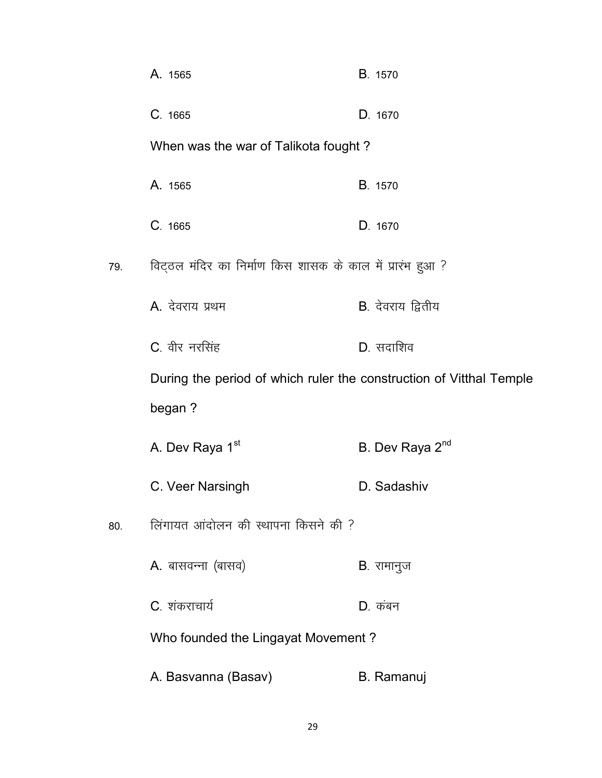|     | A. 1565                                                             | B. 1570                     |
|-----|---------------------------------------------------------------------|-----------------------------|
|     | C. 1665                                                             | D. 1670                     |
|     | When was the war of Talikota fought?                                |                             |
|     | A. 1565                                                             | B. 1570                     |
|     | C. 1665                                                             | D. 1670                     |
| 79. | विट्ठल मंदिर का निर्माण किस शासक के काल में प्रारंभ हुआ ?           |                             |
|     | A. देवराय प्रथम                                                     | <b>B</b> . देवराय द्वितीय   |
|     | C. वीर नरसिंह                                                       | D. सदाशिव                   |
|     | During the period of which ruler the construction of Vitthal Temple |                             |
|     | began?                                                              |                             |
|     | A. Dev Raya 1st                                                     | B. Dev Raya 2 <sup>nd</sup> |
|     | C. Veer Narsingh                                                    | D. Sadashiv                 |
| 80. | लिंगायत आंदोलन की स्थापना किसने की ?                                |                             |
|     | A. बासवन्ना (बासव)                                                  | <b>B</b> . रामानुज          |
|     | C. शंकराचार्य                                                       | $D.$ कंबन                   |
|     | Who founded the Lingayat Movement?                                  |                             |
|     | A. Basvanna (Basav)                                                 | <b>B.</b> Ramanuj           |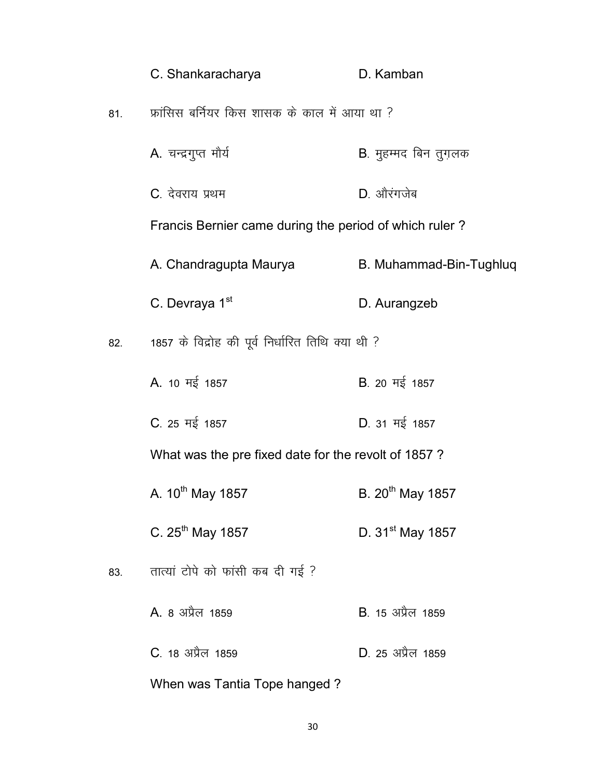|     | C. Shankaracharya                                      | D. Kamban               |  |
|-----|--------------------------------------------------------|-------------------------|--|
| 81. | फ्रांसिस बर्नियर किस शासक के काल में आया था ?          |                         |  |
|     | A. चन्द्रगुप्त मौर्य                                   | B. मुहम्मद बिन तुग़लक   |  |
|     | C. देवराय प्रथम                                        | D. औरंगजेब              |  |
|     | Francis Bernier came during the period of which ruler? |                         |  |
|     | A. Chandragupta Maurya                                 | B. Muhammad-Bin-Tughluq |  |
|     | C. Devraya 1 <sup>st</sup>                             | D. Aurangzeb            |  |
| 82. | 1857 के विद्रोह की पूर्व निर्धारित तिथि क्या थी ?      |                         |  |
|     | A. 10 मई 1857                                          | B. 20 मई 1857           |  |
|     | C. 25 मई 1857                                          | D. 31 मई 1857           |  |
|     | What was the pre fixed date for the revolt of 1857?    |                         |  |
|     | A. 10 <sup>th</sup> May 1857                           | B. $20^{th}$ May 1857   |  |
|     | C. 25 <sup>th</sup> May 1857                           | D. $31^{st}$ May 1857   |  |
| 83. | तात्यां टोपे को फांसी कब दी गई ?                       |                         |  |
|     | A. 8 अप्रैल 1859                                       | B 15 अप्रैल 1859        |  |
|     | C. 18 अप्रैल 1859                                      | D. 25 अप्रैल 1859       |  |
|     | When was Tantia Tope hanged?                           |                         |  |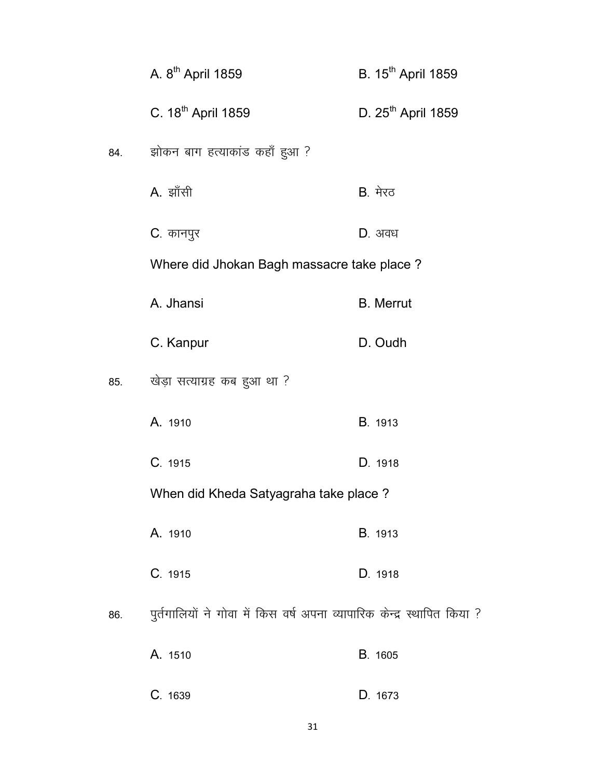|     | A. 8 <sup>th</sup> April 1859                                           | B. 15 <sup>th</sup> April 1859 |
|-----|-------------------------------------------------------------------------|--------------------------------|
|     | C. 18 <sup>th</sup> April 1859                                          | D. 25 <sup>th</sup> April 1859 |
| 84. | झोकन बाग हत्याकांड कहाँ हुआ ?                                           |                                |
|     | A. झाँसी                                                                | <b>B</b> . मेरठ                |
|     | C. कानपुर                                                               | $D.$ अवध                       |
|     | Where did Jhokan Bagh massacre take place?                              |                                |
|     | A. Jhansi                                                               | <b>B.</b> Merrut               |
|     | C. Kanpur                                                               | D. Oudh                        |
| 85. | खेड़ा सत्याग्रह कब हुआ था ?                                             |                                |
|     | A. 1910                                                                 | B. 1913                        |
|     | C. 1915                                                                 | D. 1918                        |
|     | When did Kheda Satyagraha take place?                                   |                                |
|     | A. 1910                                                                 | B. 1913                        |
|     | C. 1915                                                                 | D. 1918                        |
| 86. | पुर्तगालियों ने गोवा में किस वर्ष अपना व्यापारिक केन्द्र स्थापित किया ? |                                |
|     | A. 1510                                                                 | B. 1605                        |
|     | C. 1639                                                                 | D. 1673                        |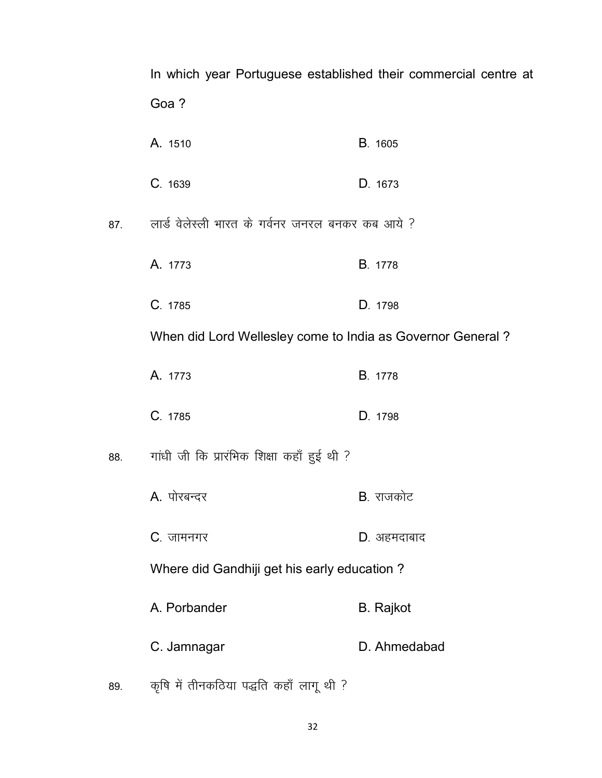In which year Portuguese established their commercial centre at Goa ? A. 1510 B. 1605 C- 1639 D- 1673 87. लार्ड वेलेस्ली भारत के गर्वनर जनरल बनकर कब आये ? A. 1773 B. 1778 C- 1785 D- 1798 When did Lord Wellesley come to India as Governor General ? A. 1773 B. 1778 C- 1785 D- 1798 88. गांधी जी कि प्रारंभिक शिक्षा कहाँ हुई थी ? A. पोरबन्दर बाट का B. राजकोट C. जामनगर **D. अहमदाबाद** Where did Gandhiji get his early education ? A. Porbander B. Rajkot C. Jamnagar D. Ahmedabad 89. कृषि में तीनकठिया पद्धति कहाँ लागू थी ?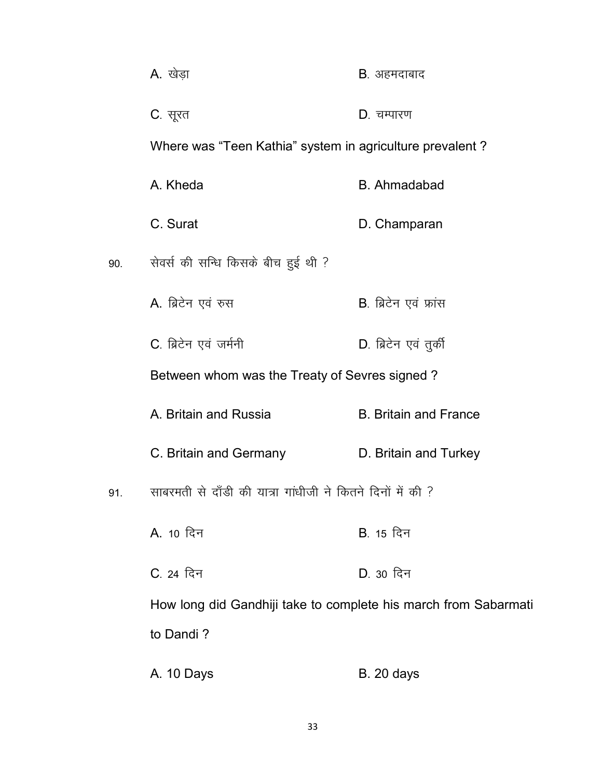|     | A. खेड़ा                                                        | B. अहमदाबाद                  |
|-----|-----------------------------------------------------------------|------------------------------|
|     | C. सूरत                                                         | D. चम्पारण                   |
|     | Where was "Teen Kathia" system in agriculture prevalent?        |                              |
|     | A. Kheda                                                        | <b>B.</b> Ahmadabad          |
|     | C. Surat                                                        | D. Champaran                 |
| 90. | सेवर्स की सन्धि किसके बीच हुई थी ?                              |                              |
|     | A. ब्रिटेन एवं रुस                                              | B. ब्रिटेन एवं फ्रांस        |
|     | C. ब्रिटेन एवं जर्मनी                                           | D. ब्रिटेन एवं तुर्की        |
|     | Between whom was the Treaty of Sevres signed?                   |                              |
|     | A. Britain and Russia                                           | <b>B. Britain and France</b> |
|     | C. Britain and Germany                                          | D. Britain and Turkey        |
| 91. | साबरमती से दाँडी की यात्रा गांधीजी ने कितने दिनों में की ?      |                              |
|     | A. 10 दिन                                                       | B. 15 दिन                    |
|     | C. 24 दिन                                                       | D. 30 दिन                    |
|     | How long did Gandhiji take to complete his march from Sabarmati |                              |
|     | to Dandi?                                                       |                              |
|     | A. 10 Days                                                      | <b>B.</b> 20 days            |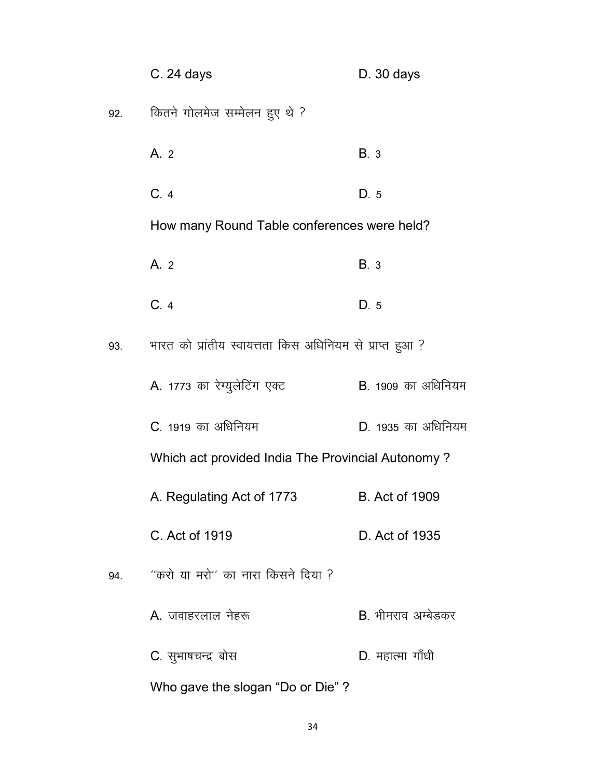|     | C. 24 days                                               | $D.30$ days                |
|-----|----------------------------------------------------------|----------------------------|
| 92. | कितने गोलमेज सम्मेलन हुए थे ?                            |                            |
|     | A. 2                                                     | <b>B.</b> 3                |
|     | C.4                                                      | D.5                        |
|     | How many Round Table conferences were held?              |                            |
|     | A. 2                                                     | <b>B.</b> 3                |
|     | C.4                                                      | D.5                        |
| 93. | भारत को प्रांतीय स्वायत्तता किस अधिनियम से प्राप्त हुआ ? |                            |
|     | A. 1773 का रेग्युलेटिंग एक्ट                             | <b>B</b> . 1909 का अधिनियम |
|     | C. 1919 का अधिनियम                                       | D. 1935 का अधिनियम         |
|     | Which act provided India The Provincial Autonomy?        |                            |
|     | A. Regulating Act of 1773                                | <b>B.</b> Act of 1909      |
|     | C. Act of 1919                                           | D. Act of 1935             |
| 94. | ''करो या मरो'' का नारा किसने दिया ?                      |                            |
|     | <b>A.</b> जवाहरलाल नेहरू                                 | B भीमराव अम्बेडकर          |
|     | C. सुभाषचन्द्र बोस                                       | D. महात्मा गाँधी           |
|     | Who gave the slogan "Do or Die"?                         |                            |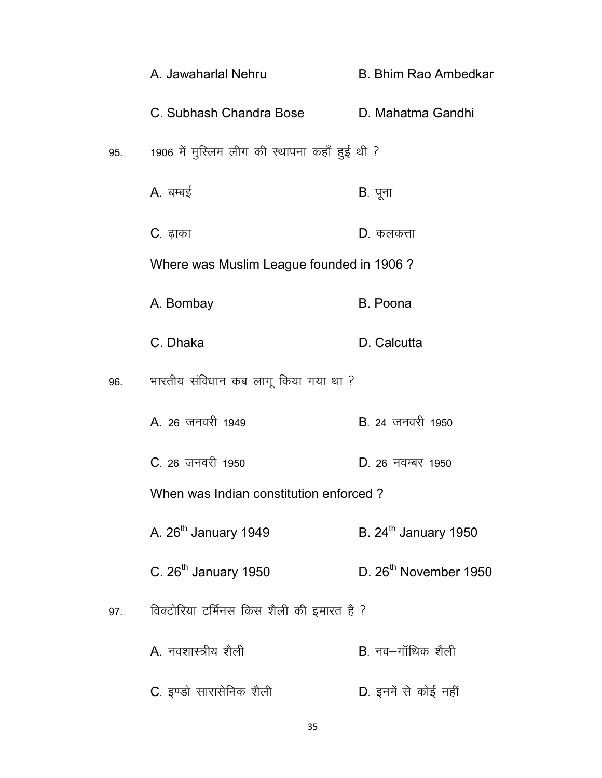|     | A. Jawaharlal Nehru                           | <b>B. Bhim Rao Ambedkar</b>       |
|-----|-----------------------------------------------|-----------------------------------|
|     | C. Subhash Chandra Bose                       | D. Mahatma Gandhi                 |
| 95. | 1906 में मुस्लिम लीग की स्थापना कहाँ हुई थी ? |                                   |
|     | A. बम्बई                                      | B. पूना                           |
|     | <b>C</b> . ढ़ाका                              | <b>D</b> . कलकत्ता                |
|     | Where was Muslim League founded in 1906?      |                                   |
|     | A. Bombay                                     | B. Poona                          |
|     | C. Dhaka                                      | D. Calcutta                       |
| 96. | भारतीय संविधान कब लागू किया गया था ?          |                                   |
|     | A. 26 जनवरी 1949                              | <b>B</b> . 24 जनवरी 1950          |
|     | C. 26 जनवरी 1950                              | D. 26 नवम्बर 1950                 |
|     | When was Indian constitution enforced?        |                                   |
|     | A. 26 <sup>th</sup> January 1949              | B. 24 <sup>th</sup> January 1950  |
|     | C. 26 <sup>th</sup> January 1950              | D. 26 <sup>th</sup> November 1950 |
| 97. | विक्टोरिया टर्मिनस किस शैली की इमारत है ?     |                                   |
|     | A. नवशास्त्रीय शैली                           | $B$ , नव $-$ गॉथिक शैली           |
|     | C. इण्डो सारासेनिक शैली                       | D. इनमें से कोई नहीं              |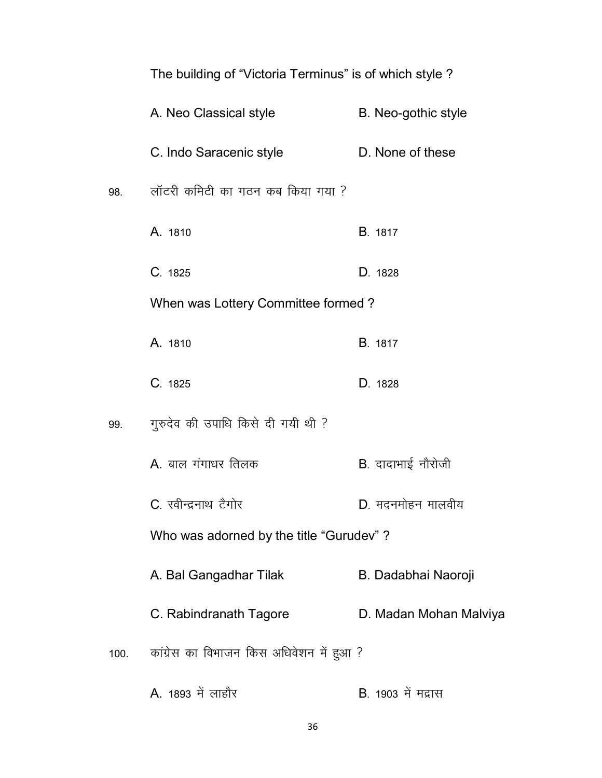|     | THE DUILDING OF VICTOR FEITHINGS IS OF WITCH STYLE ? |                            |
|-----|------------------------------------------------------|----------------------------|
|     | A. Neo Classical style                               | B. Neo-gothic style        |
|     | C. Indo Saracenic style                              | D. None of these           |
| 98. | लॉटरी कमिटी का गठन कब किया गया ?                     |                            |
|     | A. 1810                                              | <b>B.</b> 1817             |
|     | C. 1825                                              | D. 1828                    |
|     | When was Lottery Committee formed?                   |                            |
|     | A. 1810                                              | B. 1817                    |
|     | C. 1825                                              | D. 1828                    |
| 99. | गुरुदेव की उपाधि किसे दी गयी थी ?                    |                            |
|     | A. बाल गंगाधर तिलक                                   | B. दादाभाई नौरोजी          |
|     | C. रवीन्द्रनाथ टैगोर                                 | D. मदनमोहन मालवीय          |
|     | Who was adorned by the title "Gurudev"?              |                            |
|     | A. Bal Gangadhar Tilak                               | B. Dadabhai Naoroji        |
|     | C. Rabindranath Tagore                               | D. Madan Mohan Malviya     |
|     | 100. कांग्रेस का विभाजन किस अधिवेशन में हुआ ?        |                            |
|     | A. 1893 में लाहौर                                    | <b>B</b> . 1903 में मद्रास |

# The building of "Victoria Terminus" is of which style ?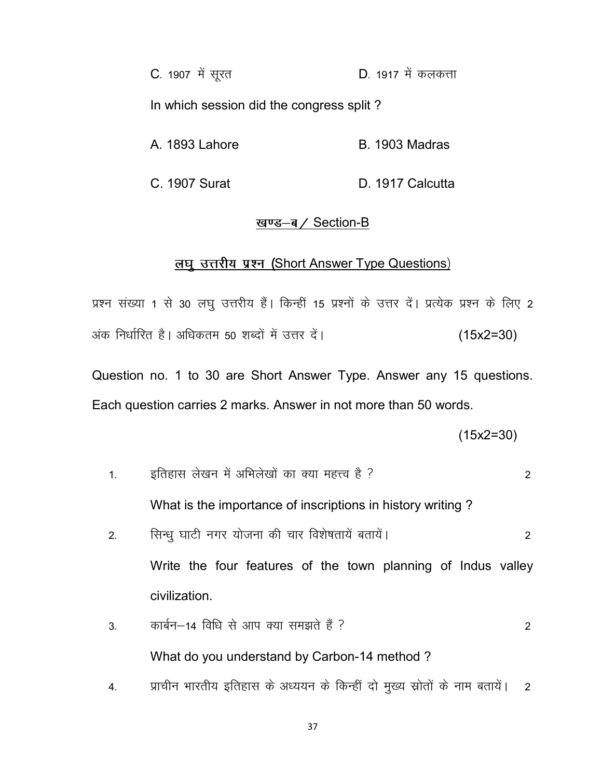C. 1907 में सूरत **D. 1917 में कलकत्ता** In which session did the congress split ? A. 1893 Lahore B. 1903 Madras

C. 1907 Surat D. 1917 Calcutta

#### खण्ड-ब/ Section-B

### लघु उत्तरीय प्रश्न (Short Answer Type Questions)

प्रश्न संख्या 1 से 30 लघू उत्तरीय हैं। किन्हीं 15 प्रश्नों के उत्तर दें। प्रत्येक प्रश्न के लिए 2 अंक निर्धारित है। अधिकतम 50 शब्दों में उत्तर दें। (15x2=30)

Question no. 1 to 30 are Short Answer Type. Answer any 15 questions. Each question carries 2 marks. Answer in not more than 50 words.

(15x2=30)

- 1- bfrgkl ys[ku esa vfHky s[kk sa dk D;k egÙo gS \ 2 What is the importance of inscriptions in history writing ? 2- flU/kq ?kkVh uxj ;kstuk dh pkj fo'ks"krk; sa crk; saA 2 Write the four features of the town planning of Indus valley civilization.
- 3- dkcZu&14 fof/k ls vki D;k le>rs g Sa \ 2 What do you understand by Carbon-14 method ?
- 4. प्राचीन भारतीय इतिहास के अध्ययन के किन्हीं दो मुख्य स्रोतों के नाम बतायें। 2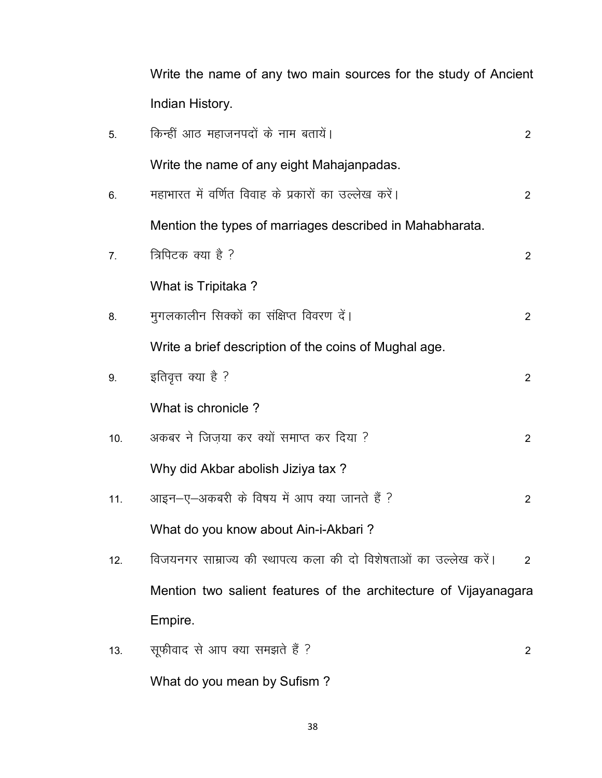Write the name of any two main sources for the study of Ancient Indian History.

| 5.             | किन्हीं आठ महाजनपदों के नाम बतायें।                               | $\overline{2}$ |
|----------------|-------------------------------------------------------------------|----------------|
|                | Write the name of any eight Mahajanpadas.                         |                |
| 6.             | महाभारत में वर्णित विवाह के प्रकारों का उल्लेख करें।              | $\overline{2}$ |
|                | Mention the types of marriages described in Mahabharata.          |                |
| 7 <sub>1</sub> | त्रिपिटक क्या है ?                                                | $\overline{2}$ |
|                | What is Tripitaka?                                                |                |
| 8.             | मुगलकालीन सिक्कों का संक्षिप्त विवरण दें।                         | $\overline{2}$ |
|                | Write a brief description of the coins of Mughal age.             |                |
| 9.             | इतिवृत्त क्या है ?                                                | $\overline{2}$ |
|                | What is chronicle?                                                |                |
| 10.            | अकबर ने जिज़या कर क्यों समाप्त कर दिया ?                          | $\overline{2}$ |
|                | Why did Akbar abolish Jiziya tax?                                 |                |
| 11.            | आइन-ए-अकबरी के विषय में आप क्या जानते हैं ?                       | $\overline{2}$ |
|                | What do you know about Ain-i-Akbari?                              |                |
| 12.            | विजयनगर साम्राज्य की स्थापत्य कला की दो विशेषताओं का उल्लेख करें। | $\overline{2}$ |
|                | Mention two salient features of the architecture of Vijayanagara  |                |
|                | Empire.                                                           |                |
| 13.            | सूफीवाद से आप क्या समझते हैं ?                                    | $\overline{2}$ |

What do you mean by Sufism ?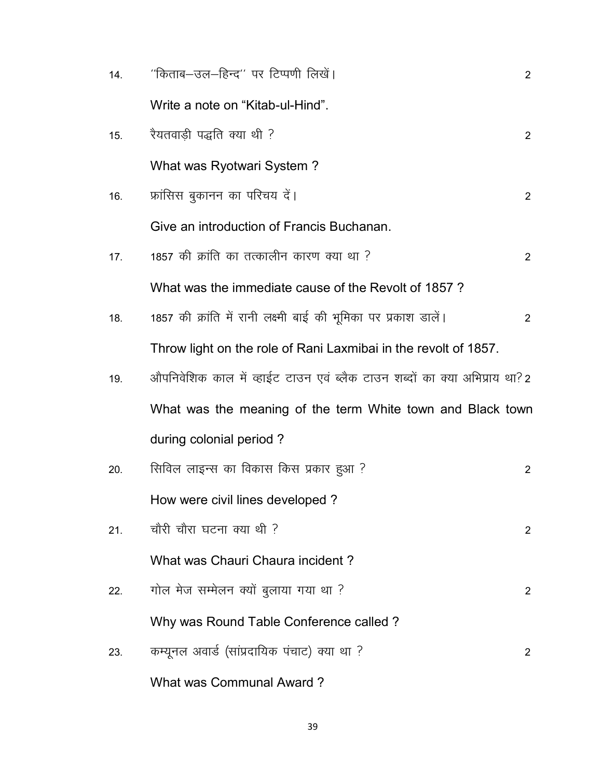| 14. | ''किताब–उल–हिन्द'' पर टिप्पणी लिखें।                                      | $\overline{2}$        |
|-----|---------------------------------------------------------------------------|-----------------------|
|     | Write a note on "Kitab-ul-Hind".                                          |                       |
| 15. | रैयतवाड़ी पद्धति क्या थी ?                                                | $\mathbf{2}^{\prime}$ |
|     | What was Ryotwari System?                                                 |                       |
| 16. | फ्रांसिस बुकानन का परिचय दें।                                             | $\overline{2}$        |
|     | Give an introduction of Francis Buchanan.                                 |                       |
| 17. | 1857 की क्रांति का तत्कालीन कारण क्या था ?                                | $\overline{2}$        |
|     | What was the immediate cause of the Revolt of 1857?                       |                       |
| 18. | 1857 की क्रांति में रानी लक्ष्मी बाई की भूमिका पर प्रकाश डालें।           | $\overline{2}$        |
|     | Throw light on the role of Rani Laxmibai in the revolt of 1857.           |                       |
| 19. | औपनिवेशिक काल में व्हाईट टाउन एवं ब्लैक टाउन शब्दों का क्या अभिप्राय था?2 |                       |
|     | What was the meaning of the term White town and Black town                |                       |
|     | during colonial period?                                                   |                       |
| 20. | सिविल लाइन्स का विकास किस प्रकार हुआ ?                                    | $\overline{2}$        |
|     | How were civil lines developed?                                           |                       |
| 21. | चौरी चौरा घटना क्या थी ?                                                  | $\overline{2}$        |
|     | What was Chauri Chaura incident?                                          |                       |
| 22. | गोल मेज सम्मेलन क्यों बुलाया गया था ?                                     | 2                     |
|     | Why was Round Table Conference called?                                    |                       |
| 23. | कम्यूनल अवार्ड (सांप्रदायिक पंचाट) क्या था ?                              | 2                     |
|     | What was Communal Award?                                                  |                       |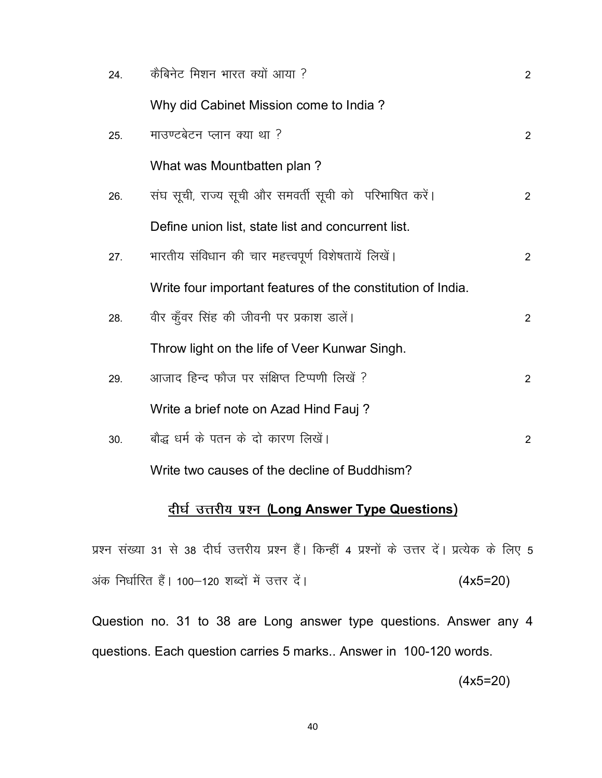| 24. | कैबिनेट मिशन भारत क्यों आया ?                               | $\overline{2}$ |
|-----|-------------------------------------------------------------|----------------|
|     | Why did Cabinet Mission come to India?                      |                |
| 25. | माउण्टबेटन प्लान क्या था ?                                  | $\overline{2}$ |
|     | What was Mountbatten plan?                                  |                |
| 26. | संघ सूची, राज्य सूची और समवर्ती सूची को) परिभाषित करें।     | $\overline{2}$ |
|     | Define union list, state list and concurrent list.          |                |
| 27. | भारतीय संविधान की चार महत्त्वपूर्ण विशेषतायें लिखें।        | $\overline{2}$ |
|     | Write four important features of the constitution of India. |                |
| 28. | वीर कूँवर सिंह की जीवनी पर प्रकाश डालें।                    | $\overline{2}$ |
|     | Throw light on the life of Veer Kunwar Singh.               |                |
| 29. | आजाद हिन्द फौज पर संक्षिप्त टिप्पणी लिखें ?                 | $\overline{2}$ |
|     | Write a brief note on Azad Hind Fauj?                       |                |
| 30. | बौद्ध धर्म के पतन के दो कारण लिखें।                         | $\overline{2}$ |
|     | Write two causes of the decline of Buddhism?                |                |

# <u>दीर्घ उत्तरीय प्रश्न (Long Answer Type Questions)</u>

प्रश्न संख्या 31 से 38 दीर्घ उत्तरीय प्रश्न हैं। किन्हीं 4 प्रश्नों के उत्तर दें। प्रत्येक के लिए 5 अंक निर्धारित हैं। 100–120 शब्दों में उत्तर दें।  $(4x5=20)$ 

Question no. 31 to 38 are Long answer type questions. Answer any 4 questions. Each question carries 5 marks.. Answer in 100-120 words.

(4x5=20)